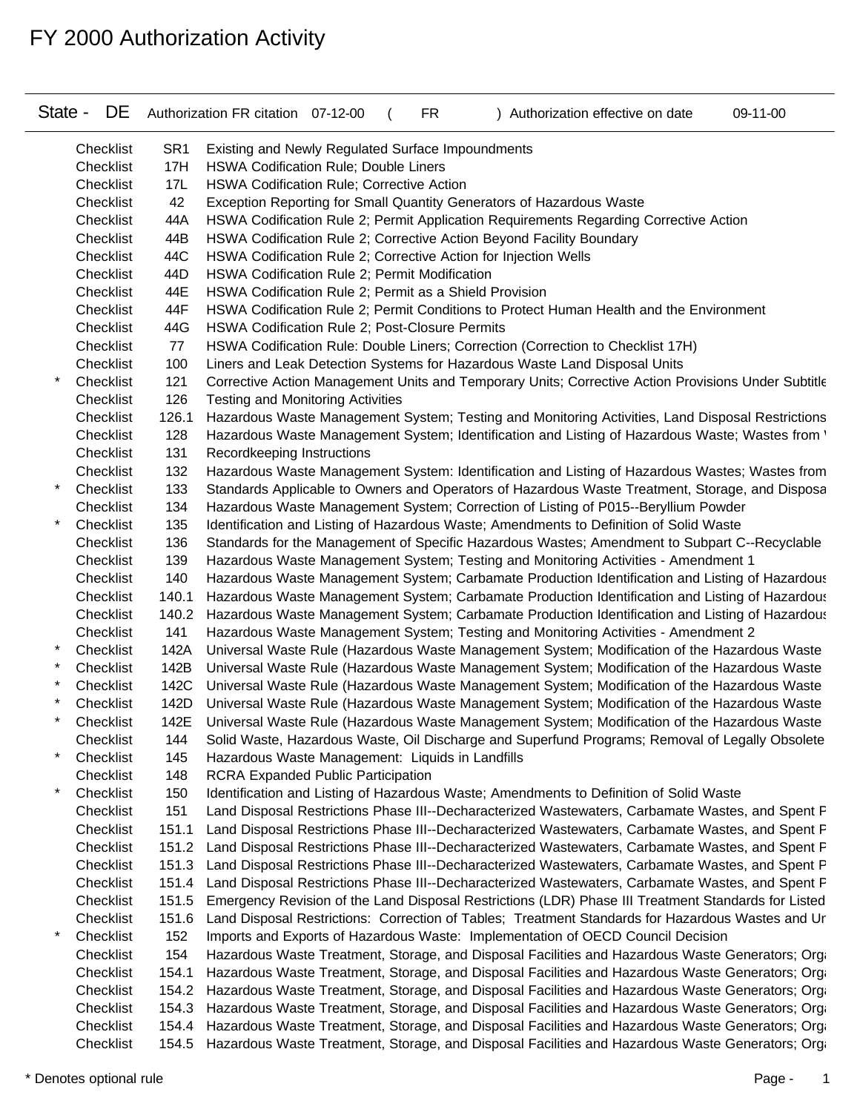| State - | <b>DE</b> |                 | Authorization FR citation 07-12-00<br>Authorization effective on date<br>09-11-00<br>FR.                |  |
|---------|-----------|-----------------|---------------------------------------------------------------------------------------------------------|--|
|         | Checklist | SR <sub>1</sub> | Existing and Newly Regulated Surface Impoundments                                                       |  |
|         | Checklist | 17H             | <b>HSWA Codification Rule; Double Liners</b>                                                            |  |
|         | Checklist | 17L             | <b>HSWA Codification Rule; Corrective Action</b>                                                        |  |
|         | Checklist | 42              | Exception Reporting for Small Quantity Generators of Hazardous Waste                                    |  |
|         | Checklist | 44A             | HSWA Codification Rule 2; Permit Application Requirements Regarding Corrective Action                   |  |
|         | Checklist | 44B             | HSWA Codification Rule 2; Corrective Action Beyond Facility Boundary                                    |  |
|         | Checklist | 44C             | HSWA Codification Rule 2; Corrective Action for Injection Wells                                         |  |
|         | Checklist | 44D             | <b>HSWA Codification Rule 2; Permit Modification</b>                                                    |  |
|         | Checklist | 44E             | HSWA Codification Rule 2; Permit as a Shield Provision                                                  |  |
|         | Checklist | 44F             | HSWA Codification Rule 2; Permit Conditions to Protect Human Health and the Environment                 |  |
|         | Checklist | 44G             | <b>HSWA Codification Rule 2; Post-Closure Permits</b>                                                   |  |
|         | Checklist | 77              | HSWA Codification Rule: Double Liners; Correction (Correction to Checklist 17H)                         |  |
|         | Checklist | 100             | Liners and Leak Detection Systems for Hazardous Waste Land Disposal Units                               |  |
|         | Checklist | 121             | Corrective Action Management Units and Temporary Units; Corrective Action Provisions Under Subtitle     |  |
|         | Checklist | 126             | <b>Testing and Monitoring Activities</b>                                                                |  |
|         | Checklist | 126.1           | Hazardous Waste Management System; Testing and Monitoring Activities, Land Disposal Restrictions        |  |
|         | Checklist | 128             | Hazardous Waste Management System; Identification and Listing of Hazardous Waste; Wastes from '         |  |
|         | Checklist | 131             | Recordkeeping Instructions                                                                              |  |
|         | Checklist | 132             | Hazardous Waste Management System: Identification and Listing of Hazardous Wastes; Wastes from          |  |
|         | Checklist | 133             | Standards Applicable to Owners and Operators of Hazardous Waste Treatment, Storage, and Disposa         |  |
|         | Checklist | 134             | Hazardous Waste Management System; Correction of Listing of P015--Beryllium Powder                      |  |
|         | Checklist | 135             | Identification and Listing of Hazardous Waste; Amendments to Definition of Solid Waste                  |  |
|         | Checklist | 136             | Standards for the Management of Specific Hazardous Wastes; Amendment to Subpart C--Recyclable           |  |
|         | Checklist | 139             | Hazardous Waste Management System; Testing and Monitoring Activities - Amendment 1                      |  |
|         | Checklist | 140             | Hazardous Waste Management System; Carbamate Production Identification and Listing of Hazardous         |  |
|         | Checklist | 140.1           | Hazardous Waste Management System; Carbamate Production Identification and Listing of Hazardous         |  |
|         | Checklist |                 | 140.2 Hazardous Waste Management System; Carbamate Production Identification and Listing of Hazardous   |  |
|         | Checklist | 141             | Hazardous Waste Management System; Testing and Monitoring Activities - Amendment 2                      |  |
|         | Checklist | 142A            | Universal Waste Rule (Hazardous Waste Management System; Modification of the Hazardous Waste            |  |
|         | Checklist | 142B            | Universal Waste Rule (Hazardous Waste Management System; Modification of the Hazardous Waste            |  |
|         | Checklist | 142C            | Universal Waste Rule (Hazardous Waste Management System; Modification of the Hazardous Waste            |  |
|         | Checklist | 142D            | Universal Waste Rule (Hazardous Waste Management System; Modification of the Hazardous Waste            |  |
|         | Checklist |                 | 142E Universal Waste Rule (Hazardous Waste Management System; Modification of the Hazardous Waste       |  |
|         | Checklist | 144             | Solid Waste, Hazardous Waste, Oil Discharge and Superfund Programs; Removal of Legally Obsolete         |  |
|         | Checklist | 145             | Hazardous Waste Management: Liquids in Landfills                                                        |  |
|         | Checklist | 148             | <b>RCRA Expanded Public Participation</b>                                                               |  |
|         | Checklist | 150             | Identification and Listing of Hazardous Waste; Amendments to Definition of Solid Waste                  |  |
|         | Checklist | 151             | Land Disposal Restrictions Phase III--Decharacterized Wastewaters, Carbamate Wastes, and Spent F        |  |
|         | Checklist | 151.1           | Land Disposal Restrictions Phase III--Decharacterized Wastewaters, Carbamate Wastes, and Spent F        |  |
|         | Checklist |                 | 151.2 Land Disposal Restrictions Phase III--Decharacterized Wastewaters, Carbamate Wastes, and Spent F  |  |
|         | Checklist |                 | 151.3 Land Disposal Restrictions Phase III--Decharacterized Wastewaters, Carbamate Wastes, and Spent P  |  |
|         | Checklist |                 | 151.4 Land Disposal Restrictions Phase III--Decharacterized Wastewaters, Carbamate Wastes, and Spent F  |  |
|         | Checklist | 151.5           | Emergency Revision of the Land Disposal Restrictions (LDR) Phase III Treatment Standards for Listed     |  |
|         | Checklist |                 | 151.6 Land Disposal Restrictions: Correction of Tables; Treatment Standards for Hazardous Wastes and Ur |  |
|         | Checklist | 152             | Imports and Exports of Hazardous Waste: Implementation of OECD Council Decision                         |  |
|         | Checklist | 154             | Hazardous Waste Treatment, Storage, and Disposal Facilities and Hazardous Waste Generators; Org.        |  |
|         | Checklist | 154.1           | Hazardous Waste Treatment, Storage, and Disposal Facilities and Hazardous Waste Generators; Orga        |  |
|         | Checklist |                 | 154.2 Hazardous Waste Treatment, Storage, and Disposal Facilities and Hazardous Waste Generators; Org.  |  |
|         | Checklist |                 | 154.3 Hazardous Waste Treatment, Storage, and Disposal Facilities and Hazardous Waste Generators; Org.  |  |
|         | Checklist |                 | 154.4 Hazardous Waste Treatment, Storage, and Disposal Facilities and Hazardous Waste Generators; Org.  |  |
|         | Checklist |                 | 154.5 Hazardous Waste Treatment, Storage, and Disposal Facilities and Hazardous Waste Generators; Orga  |  |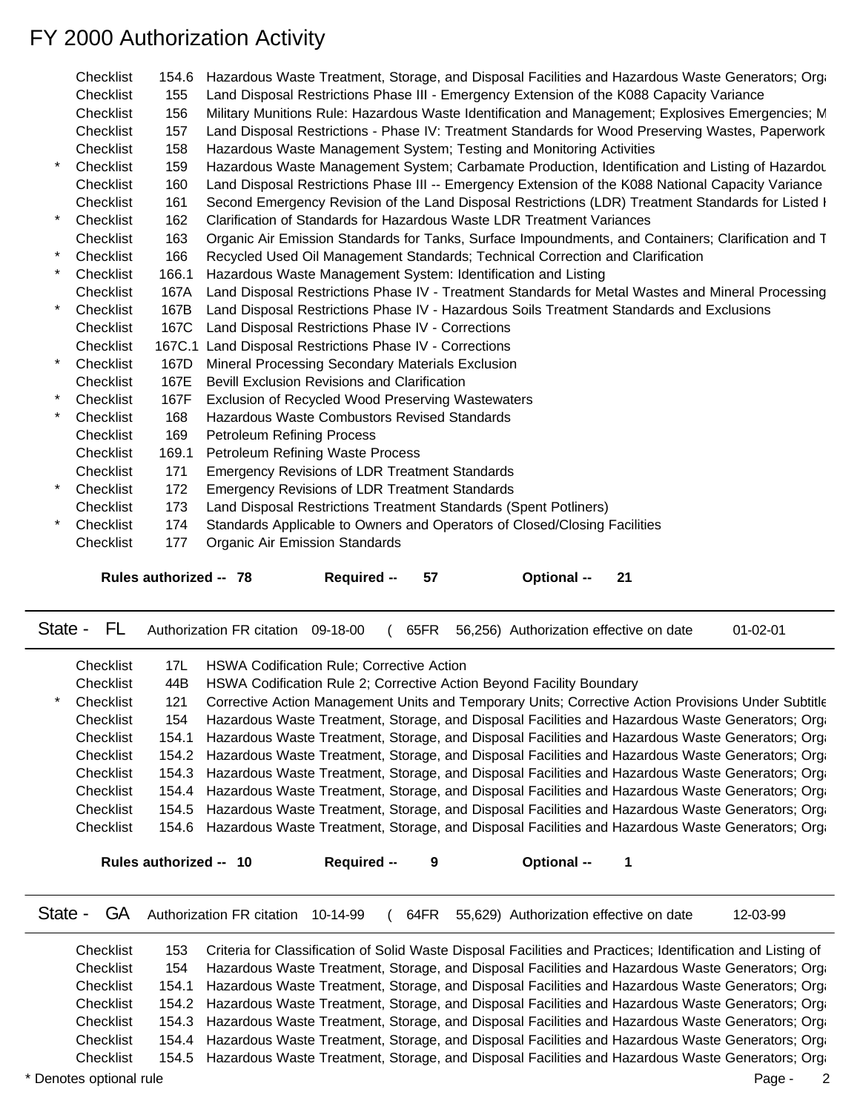| Checklist | 154.6  | Hazardous Waste Treatment, Storage, and Disposal Facilities and Hazardous Waste Generators; Org.    |
|-----------|--------|-----------------------------------------------------------------------------------------------------|
| Checklist | 155    | Land Disposal Restrictions Phase III - Emergency Extension of the K088 Capacity Variance            |
| Checklist | 156    | Military Munitions Rule: Hazardous Waste Identification and Management; Explosives Emergencies; M   |
| Checklist | 157    | Land Disposal Restrictions - Phase IV: Treatment Standards for Wood Preserving Wastes, Paperwork    |
| Checklist | 158    | Hazardous Waste Management System; Testing and Monitoring Activities                                |
| Checklist | 159    | Hazardous Waste Management System; Carbamate Production, Identification and Listing of Hazardou     |
| Checklist | 160    | Land Disposal Restrictions Phase III -- Emergency Extension of the K088 National Capacity Variance  |
| Checklist | 161    | Second Emergency Revision of the Land Disposal Restrictions (LDR) Treatment Standards for Listed I  |
| Checklist | 162    | Clarification of Standards for Hazardous Waste LDR Treatment Variances                              |
| Checklist | 163    | Organic Air Emission Standards for Tanks, Surface Impoundments, and Containers; Clarification and T |
| Checklist | 166    | Recycled Used Oil Management Standards; Technical Correction and Clarification                      |
| Checklist | 166.1  | Hazardous Waste Management System: Identification and Listing                                       |
| Checklist | 167A   | Land Disposal Restrictions Phase IV - Treatment Standards for Metal Wastes and Mineral Processing   |
| Checklist | 167B   | Land Disposal Restrictions Phase IV - Hazardous Soils Treatment Standards and Exclusions            |
| Checklist |        | 167C Land Disposal Restrictions Phase IV - Corrections                                              |
| Checklist | 167C.1 | Land Disposal Restrictions Phase IV - Corrections                                                   |
| Checklist | 167D   | Mineral Processing Secondary Materials Exclusion                                                    |
| Checklist | 167E   | Bevill Exclusion Revisions and Clarification                                                        |
| Checklist | 167F   | Exclusion of Recycled Wood Preserving Wastewaters                                                   |
| Checklist | 168    | Hazardous Waste Combustors Revised Standards                                                        |
| Checklist | 169    | Petroleum Refining Process                                                                          |
| Checklist | 169.1  | Petroleum Refining Waste Process                                                                    |
| Checklist | 171    | <b>Emergency Revisions of LDR Treatment Standards</b>                                               |
| Checklist | 172    | <b>Emergency Revisions of LDR Treatment Standards</b>                                               |
| Checklist | 173    | Land Disposal Restrictions Treatment Standards (Spent Potliners)                                    |
| Checklist | 174    | Standards Applicable to Owners and Operators of Closed/Closing Facilities                           |
| Checklist | 177    | <b>Organic Air Emission Standards</b>                                                               |
|           |        |                                                                                                     |
|           |        | Rules authorized -- 78<br>57<br><b>Required --</b><br><b>Optional --</b><br>- 21                    |
|           |        |                                                                                                     |
|           |        |                                                                                                     |

| Checklist | 17L   | <b>HSWA Codification Rule; Corrective Action</b>                                                       |                    |                                                                                                     |  |  |
|-----------|-------|--------------------------------------------------------------------------------------------------------|--------------------|-----------------------------------------------------------------------------------------------------|--|--|
| Checklist | 44B   |                                                                                                        |                    | HSWA Codification Rule 2; Corrective Action Beyond Facility Boundary                                |  |  |
| Checklist | 121   |                                                                                                        |                    | Corrective Action Management Units and Temporary Units; Corrective Action Provisions Under Subtitle |  |  |
| Checklist | 154   |                                                                                                        |                    | Hazardous Waste Treatment, Storage, and Disposal Facilities and Hazardous Waste Generators; Orga    |  |  |
| Checklist | 154.1 | Hazardous Waste Treatment, Storage, and Disposal Facilities and Hazardous Waste Generators; Orga       |                    |                                                                                                     |  |  |
| Checklist |       | 154.2 Hazardous Waste Treatment, Storage, and Disposal Facilities and Hazardous Waste Generators; Orga |                    |                                                                                                     |  |  |
| Checklist |       | 154.3 Hazardous Waste Treatment, Storage, and Disposal Facilities and Hazardous Waste Generators; Orga |                    |                                                                                                     |  |  |
| Checklist |       | 154.4 Hazardous Waste Treatment, Storage, and Disposal Facilities and Hazardous Waste Generators; Orga |                    |                                                                                                     |  |  |
| Checklist |       | 154.5 Hazardous Waste Treatment, Storage, and Disposal Facilities and Hazardous Waste Generators; Orga |                    |                                                                                                     |  |  |
| Checklist |       | 154.6 Hazardous Waste Treatment, Storage, and Disposal Facilities and Hazardous Waste Generators; Orga |                    |                                                                                                     |  |  |
|           |       |                                                                                                        |                    |                                                                                                     |  |  |
|           |       | Rules authorized -- 10                                                                                 | <b>Required --</b> | <b>Optional --</b>                                                                                  |  |  |

State - FL Authorization FR citation 09-18-00 ( 65FR 56,256) Authorization effective on date 01-02-01

State - GA Authorization FR citation 10-14-99 (64FR 55,629) Authorization effective on date 12-03-99

Checklist 153 Criteria for Classification of Solid Waste Disposal Facilities and Practices; Identification and Listing of Checklist 154 Hazardous Waste Treatment, Storage, and Disposal Facilities and Hazardous Waste Generators; Orga Checklist 154.1 Hazardous Waste Treatment, Storage, and Disposal Facilities and Hazardous Waste Generators; Orga Checklist 154.2 Hazardous Waste Treatment, Storage, and Disposal Facilities and Hazardous Waste Generators; Orga Checklist 154.3 Hazardous Waste Treatment, Storage, and Disposal Facilities and Hazardous Waste Generators; Orga Checklist 154.4 Hazardous Waste Treatment, Storage, and Disposal Facilities and Hazardous Waste Generators; Orga Checklist 154.5 Hazardous Waste Treatment, Storage, and Disposal Facilities and Hazardous Waste Generators; Organic Arr Emission Standards for Tanks, Air Emission Standards for Tanks, Tanks, Anglate Inpopulation Standards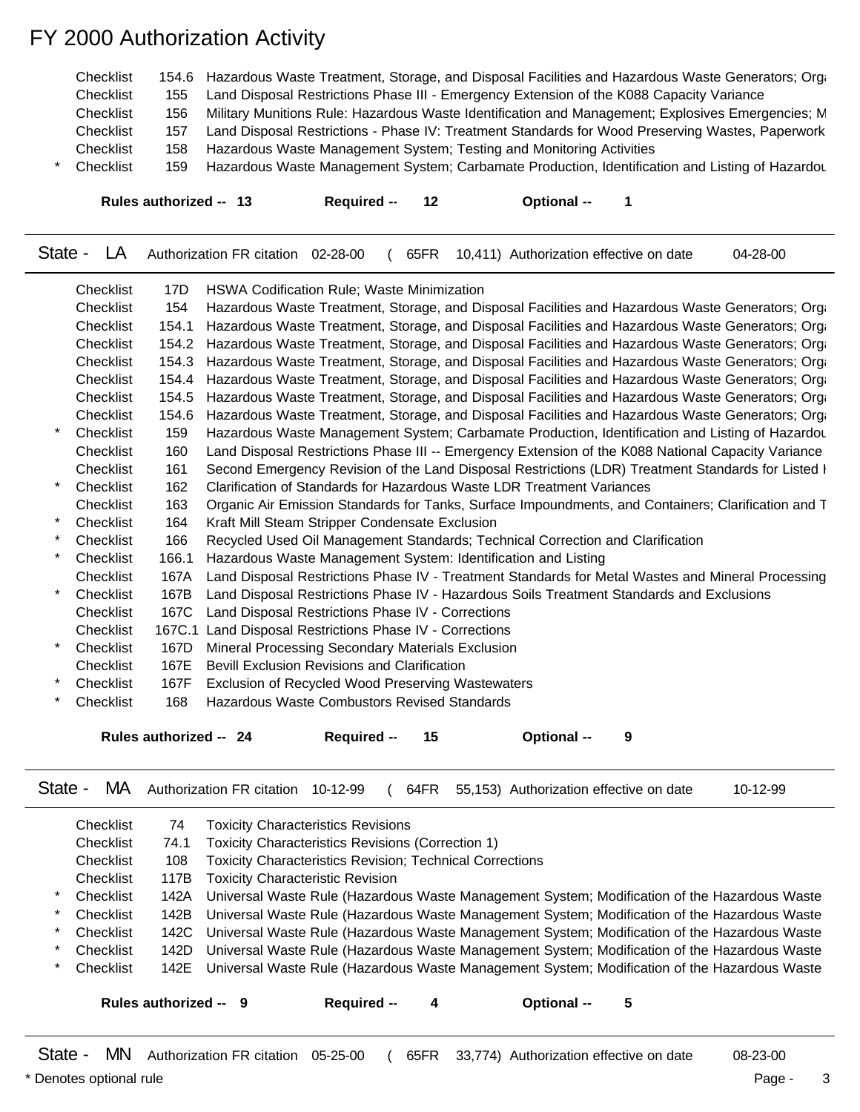| Checklist | 154.6 Hazardous Waste Treatment, Storage, and Disposal Facilities and Hazardous Waste Generators; Orga |
|-----------|--------------------------------------------------------------------------------------------------------|
| Checklist | Land Disposal Restrictions Phase III - Emergency Extension of the K088 Capacity Variance               |
| Checklist | Military Munitions Rule: Hazardous Waste Identification and Management; Explosives Emergencies; M      |
| Checklist | Land Disposal Restrictions - Phase IV: Treatment Standards for Wood Preserving Wastes, Paperwork       |
| Checklist | Hazardous Waste Management System; Testing and Monitoring Activities                                   |
| Checklist | Hazardous Waste Management System; Carbamate Production, Identification and Listing of Hazardou        |
|           |                                                                                                        |

**Rules authorized -- 13 Required -- 12 Optional -- 1**

State - LA Authorization FR citation 02-28-00 ( 65FR 10,411) Authorization effective on date 04-28-00

|         | Checklist | 17D    | <b>HSWA Codification Rule; Waste Minimization</b>                                                   |
|---------|-----------|--------|-----------------------------------------------------------------------------------------------------|
|         | Checklist | 154    | Hazardous Waste Treatment, Storage, and Disposal Facilities and Hazardous Waste Generators; Orga    |
|         | Checklist | 154.1  | Hazardous Waste Treatment, Storage, and Disposal Facilities and Hazardous Waste Generators; Orga    |
|         | Checklist | 154.2  | Hazardous Waste Treatment, Storage, and Disposal Facilities and Hazardous Waste Generators; Orga    |
|         | Checklist | 154.3  | Hazardous Waste Treatment, Storage, and Disposal Facilities and Hazardous Waste Generators; Orga    |
|         | Checklist | 154.4  | Hazardous Waste Treatment, Storage, and Disposal Facilities and Hazardous Waste Generators; Orga    |
|         | Checklist | 154.5  | Hazardous Waste Treatment, Storage, and Disposal Facilities and Hazardous Waste Generators; Orga    |
|         | Checklist | 154.6  | Hazardous Waste Treatment, Storage, and Disposal Facilities and Hazardous Waste Generators; Orga    |
|         | Checklist | 159    | Hazardous Waste Management System; Carbamate Production, Identification and Listing of Hazardou     |
|         | Checklist | 160    | Land Disposal Restrictions Phase III -- Emergency Extension of the K088 National Capacity Variance  |
|         | Checklist | 161    | Second Emergency Revision of the Land Disposal Restrictions (LDR) Treatment Standards for Listed I  |
|         | Checklist | 162    | Clarification of Standards for Hazardous Waste LDR Treatment Variances                              |
|         | Checklist | 163    | Organic Air Emission Standards for Tanks, Surface Impoundments, and Containers; Clarification and T |
| $\star$ | Checklist | 164    | Kraft Mill Steam Stripper Condensate Exclusion                                                      |
|         | Checklist | 166    | Recycled Used Oil Management Standards; Technical Correction and Clarification                      |
|         | Checklist | 166.1  | Hazardous Waste Management System: Identification and Listing                                       |
|         | Checklist | 167A   | Land Disposal Restrictions Phase IV - Treatment Standards for Metal Wastes and Mineral Processing   |
|         | Checklist | 167B   | Land Disposal Restrictions Phase IV - Hazardous Soils Treatment Standards and Exclusions            |
|         | Checklist | 167C   | Land Disposal Restrictions Phase IV - Corrections                                                   |
|         | Checklist | 167C.1 | Land Disposal Restrictions Phase IV - Corrections                                                   |
| $\star$ | Checklist | 167D   | Mineral Processing Secondary Materials Exclusion                                                    |
|         | Checklist | 167E   | <b>Bevill Exclusion Revisions and Clarification</b>                                                 |
|         | Checklist | 167F   | Exclusion of Recycled Wood Preserving Wastewaters                                                   |
|         | Checklist | 168    | Hazardous Waste Combustors Revised Standards                                                        |
|         |           |        |                                                                                                     |
|         |           |        | Rules authorized -- 24<br>9<br><b>Optional --</b><br>Required -                                     |

|  |  |  |  |  |  | State - MA Authorization FR citation 10-12-99 (64FR 55,153) Authorization effective on date | 10-12-99 |
|--|--|--|--|--|--|---------------------------------------------------------------------------------------------|----------|
|--|--|--|--|--|--|---------------------------------------------------------------------------------------------|----------|

|         | Checklist             | 74   | <b>Toxicity Characteristics Revisions</b>                                                         |
|---------|-----------------------|------|---------------------------------------------------------------------------------------------------|
|         | Checklist             | 74.1 | Toxicity Characteristics Revisions (Correction 1)                                                 |
|         | Checklist             | 108  | <b>Toxicity Characteristics Revision; Technical Corrections</b>                                   |
|         | Checklist             | 117B | <b>Toxicity Characteristic Revision</b>                                                           |
|         | * Checklist           | 142A | Universal Waste Rule (Hazardous Waste Management System; Modification of the Hazardous Waste      |
| $\star$ | Checklist             | 142B | Universal Waste Rule (Hazardous Waste Management System; Modification of the Hazardous Waste      |
|         | * Checklist           |      | 142C Universal Waste Rule (Hazardous Waste Management System; Modification of the Hazardous Waste |
| $\star$ | Checklist             | 142D | Universal Waste Rule (Hazardous Waste Management System; Modification of the Hazardous Waste      |
|         | Checklist             |      | 142E Universal Waste Rule (Hazardous Waste Management System; Modification of the Hazardous Waste |
|         |                       |      |                                                                                                   |
|         | Rules authorized -- 9 |      | Required --<br>Optional --<br>5                                                                   |
|         |                       |      |                                                                                                   |

State - MN Authorization FR citation 05-25-00 ( 65FR 33,774) Authorization effective on date 08-23-00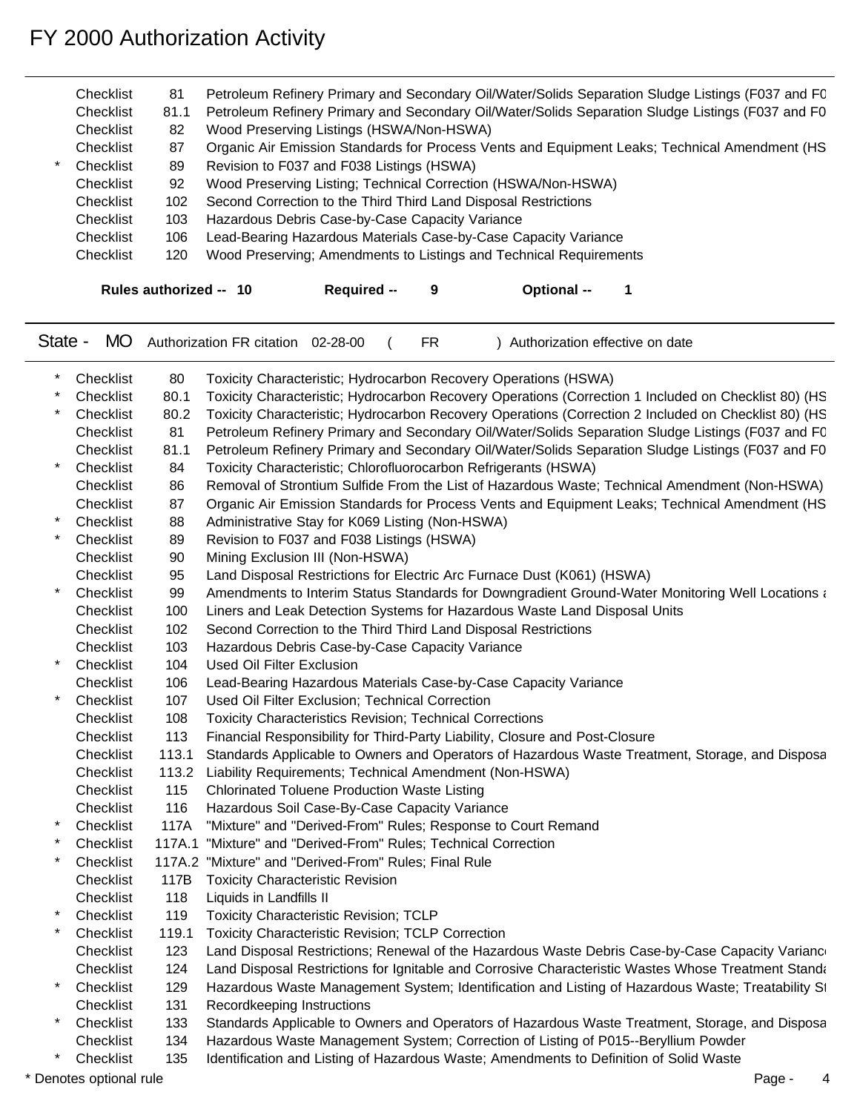| Checklist<br>Checklist<br>Checklist<br>Checklist<br>Checklist<br>Checklist<br>Checklist<br>Checklist<br>Checklist<br>Checklist | 81<br>81.1<br>82<br>87<br>89<br>92<br>102<br>103<br>106<br>120 | Petroleum Refinery Primary and Secondary Oil/Water/Solids Separation Sludge Listings (F037 and FC<br>Petroleum Refinery Primary and Secondary Oil/Water/Solids Separation Sludge Listings (F037 and F0<br>Wood Preserving Listings (HSWA/Non-HSWA)<br>Organic Air Emission Standards for Process Vents and Equipment Leaks; Technical Amendment (HS<br>Revision to F037 and F038 Listings (HSWA)<br>Wood Preserving Listing; Technical Correction (HSWA/Non-HSWA)<br>Second Correction to the Third Third Land Disposal Restrictions<br>Hazardous Debris Case-by-Case Capacity Variance<br>Lead-Bearing Hazardous Materials Case-by-Case Capacity Variance<br>Wood Preserving; Amendments to Listings and Technical Requirements |
|--------------------------------------------------------------------------------------------------------------------------------|----------------------------------------------------------------|----------------------------------------------------------------------------------------------------------------------------------------------------------------------------------------------------------------------------------------------------------------------------------------------------------------------------------------------------------------------------------------------------------------------------------------------------------------------------------------------------------------------------------------------------------------------------------------------------------------------------------------------------------------------------------------------------------------------------------|
|                                                                                                                                | Rules authorized -- 10                                         | Required --<br>Optional --<br>9                                                                                                                                                                                                                                                                                                                                                                                                                                                                                                                                                                                                                                                                                                  |
| State -<br><b>MO</b>                                                                                                           |                                                                | Authorization FR citation 02-28-00<br><b>FR</b><br>Authorization effective on date                                                                                                                                                                                                                                                                                                                                                                                                                                                                                                                                                                                                                                               |
| Checklist                                                                                                                      | 80                                                             | Toxicity Characteristic; Hydrocarbon Recovery Operations (HSWA)                                                                                                                                                                                                                                                                                                                                                                                                                                                                                                                                                                                                                                                                  |
| Checklist                                                                                                                      | 80.1                                                           | Toxicity Characteristic; Hydrocarbon Recovery Operations (Correction 1 Included on Checklist 80) (HS                                                                                                                                                                                                                                                                                                                                                                                                                                                                                                                                                                                                                             |
| Checklist                                                                                                                      | 80.2                                                           | Toxicity Characteristic; Hydrocarbon Recovery Operations (Correction 2 Included on Checklist 80) (HS                                                                                                                                                                                                                                                                                                                                                                                                                                                                                                                                                                                                                             |
| Checklist                                                                                                                      | -81                                                            | Petroleum Refinery Primary and Secondary Oil/Water/Solids Separation Sludge Listings (F037 and FC                                                                                                                                                                                                                                                                                                                                                                                                                                                                                                                                                                                                                                |
| Checklist                                                                                                                      | 81.1                                                           | Petroleum Refinery Primary and Secondary Oil/Water/Solids Separation Sludge Listings (F037 and F0                                                                                                                                                                                                                                                                                                                                                                                                                                                                                                                                                                                                                                |
| Checklist                                                                                                                      | 84                                                             | Toxicity Characteristic; Chlorofluorocarbon Refrigerants (HSWA)                                                                                                                                                                                                                                                                                                                                                                                                                                                                                                                                                                                                                                                                  |
| Checklist                                                                                                                      | 86                                                             | Removal of Strontium Sulfide From the List of Hazardous Waste; Technical Amendment (Non-HSWA)                                                                                                                                                                                                                                                                                                                                                                                                                                                                                                                                                                                                                                    |
| Checklist                                                                                                                      | 87                                                             | Organic Air Emission Standards for Process Vents and Equipment Leaks; Technical Amendment (HS                                                                                                                                                                                                                                                                                                                                                                                                                                                                                                                                                                                                                                    |
| Checklist                                                                                                                      | 88                                                             | Administrative Stay for K069 Listing (Non-HSWA)                                                                                                                                                                                                                                                                                                                                                                                                                                                                                                                                                                                                                                                                                  |
| Checklist                                                                                                                      | 89                                                             | Revision to F037 and F038 Listings (HSWA)                                                                                                                                                                                                                                                                                                                                                                                                                                                                                                                                                                                                                                                                                        |
| Checklist                                                                                                                      | 90                                                             | Mining Exclusion III (Non-HSWA)                                                                                                                                                                                                                                                                                                                                                                                                                                                                                                                                                                                                                                                                                                  |
| Checklist                                                                                                                      | 95                                                             | Land Disposal Restrictions for Electric Arc Furnace Dust (K061) (HSWA)                                                                                                                                                                                                                                                                                                                                                                                                                                                                                                                                                                                                                                                           |
| Checklist                                                                                                                      | 99                                                             | Amendments to Interim Status Standards for Downgradient Ground-Water Monitoring Well Locations and                                                                                                                                                                                                                                                                                                                                                                                                                                                                                                                                                                                                                               |
| Checklist                                                                                                                      | 100                                                            | Liners and Leak Detection Systems for Hazardous Waste Land Disposal Units                                                                                                                                                                                                                                                                                                                                                                                                                                                                                                                                                                                                                                                        |
| Checklist                                                                                                                      | 102<br>103                                                     | Second Correction to the Third Third Land Disposal Restrictions                                                                                                                                                                                                                                                                                                                                                                                                                                                                                                                                                                                                                                                                  |
| Checklist<br>Checklist                                                                                                         | 104                                                            | Hazardous Debris Case-by-Case Capacity Variance<br><b>Used Oil Filter Exclusion</b>                                                                                                                                                                                                                                                                                                                                                                                                                                                                                                                                                                                                                                              |
| Checklist                                                                                                                      | 106                                                            |                                                                                                                                                                                                                                                                                                                                                                                                                                                                                                                                                                                                                                                                                                                                  |
| Checklist                                                                                                                      | 107                                                            | Lead-Bearing Hazardous Materials Case-by-Case Capacity Variance<br>Used Oil Filter Exclusion; Technical Correction                                                                                                                                                                                                                                                                                                                                                                                                                                                                                                                                                                                                               |
| Checklist                                                                                                                      | 108                                                            | <b>Toxicity Characteristics Revision; Technical Corrections</b>                                                                                                                                                                                                                                                                                                                                                                                                                                                                                                                                                                                                                                                                  |
| Checklist                                                                                                                      | 113                                                            | Financial Responsibility for Third-Party Liability, Closure and Post-Closure                                                                                                                                                                                                                                                                                                                                                                                                                                                                                                                                                                                                                                                     |
| Checklist                                                                                                                      | 113.1                                                          | Standards Applicable to Owners and Operators of Hazardous Waste Treatment, Storage, and Disposa                                                                                                                                                                                                                                                                                                                                                                                                                                                                                                                                                                                                                                  |
| Checklist                                                                                                                      |                                                                | 113.2 Liability Requirements; Technical Amendment (Non-HSWA)                                                                                                                                                                                                                                                                                                                                                                                                                                                                                                                                                                                                                                                                     |
| Checklist                                                                                                                      | 115                                                            | <b>Chlorinated Toluene Production Waste Listing</b>                                                                                                                                                                                                                                                                                                                                                                                                                                                                                                                                                                                                                                                                              |
| Checklist                                                                                                                      | 116                                                            | Hazardous Soil Case-By-Case Capacity Variance                                                                                                                                                                                                                                                                                                                                                                                                                                                                                                                                                                                                                                                                                    |
| Checklist                                                                                                                      |                                                                | 117A "Mixture" and "Derived-From" Rules; Response to Court Remand                                                                                                                                                                                                                                                                                                                                                                                                                                                                                                                                                                                                                                                                |
| Checklist                                                                                                                      |                                                                | 117A.1 "Mixture" and "Derived-From" Rules; Technical Correction                                                                                                                                                                                                                                                                                                                                                                                                                                                                                                                                                                                                                                                                  |
| Checklist                                                                                                                      |                                                                | 117A.2 "Mixture" and "Derived-From" Rules; Final Rule                                                                                                                                                                                                                                                                                                                                                                                                                                                                                                                                                                                                                                                                            |
| Checklist                                                                                                                      |                                                                | 117B Toxicity Characteristic Revision                                                                                                                                                                                                                                                                                                                                                                                                                                                                                                                                                                                                                                                                                            |
| Checklist                                                                                                                      | 118                                                            | Liquids in Landfills II                                                                                                                                                                                                                                                                                                                                                                                                                                                                                                                                                                                                                                                                                                          |
| Checklist                                                                                                                      | 119                                                            | <b>Toxicity Characteristic Revision; TCLP</b>                                                                                                                                                                                                                                                                                                                                                                                                                                                                                                                                                                                                                                                                                    |
| Checklist                                                                                                                      | 119.1                                                          | Toxicity Characteristic Revision; TCLP Correction                                                                                                                                                                                                                                                                                                                                                                                                                                                                                                                                                                                                                                                                                |
| Checklist                                                                                                                      | 123                                                            | Land Disposal Restrictions; Renewal of the Hazardous Waste Debris Case-by-Case Capacity Variance                                                                                                                                                                                                                                                                                                                                                                                                                                                                                                                                                                                                                                 |
| Checklist                                                                                                                      | 124                                                            | Land Disposal Restrictions for Ignitable and Corrosive Characteristic Wastes Whose Treatment Standa                                                                                                                                                                                                                                                                                                                                                                                                                                                                                                                                                                                                                              |
| Checklist                                                                                                                      | 129                                                            | Hazardous Waste Management System; Identification and Listing of Hazardous Waste; Treatability St                                                                                                                                                                                                                                                                                                                                                                                                                                                                                                                                                                                                                                |
| Checklist                                                                                                                      | 131                                                            | Recordkeeping Instructions                                                                                                                                                                                                                                                                                                                                                                                                                                                                                                                                                                                                                                                                                                       |
| Checklist                                                                                                                      | 133                                                            | Standards Applicable to Owners and Operators of Hazardous Waste Treatment, Storage, and Disposa                                                                                                                                                                                                                                                                                                                                                                                                                                                                                                                                                                                                                                  |
| Checklist                                                                                                                      | 134                                                            | Hazardous Waste Management System; Correction of Listing of P015--Beryllium Powder                                                                                                                                                                                                                                                                                                                                                                                                                                                                                                                                                                                                                                               |
| Checklist                                                                                                                      | 135                                                            | Identification and Listing of Hazardous Waste; Amendments to Definition of Solid Waste                                                                                                                                                                                                                                                                                                                                                                                                                                                                                                                                                                                                                                           |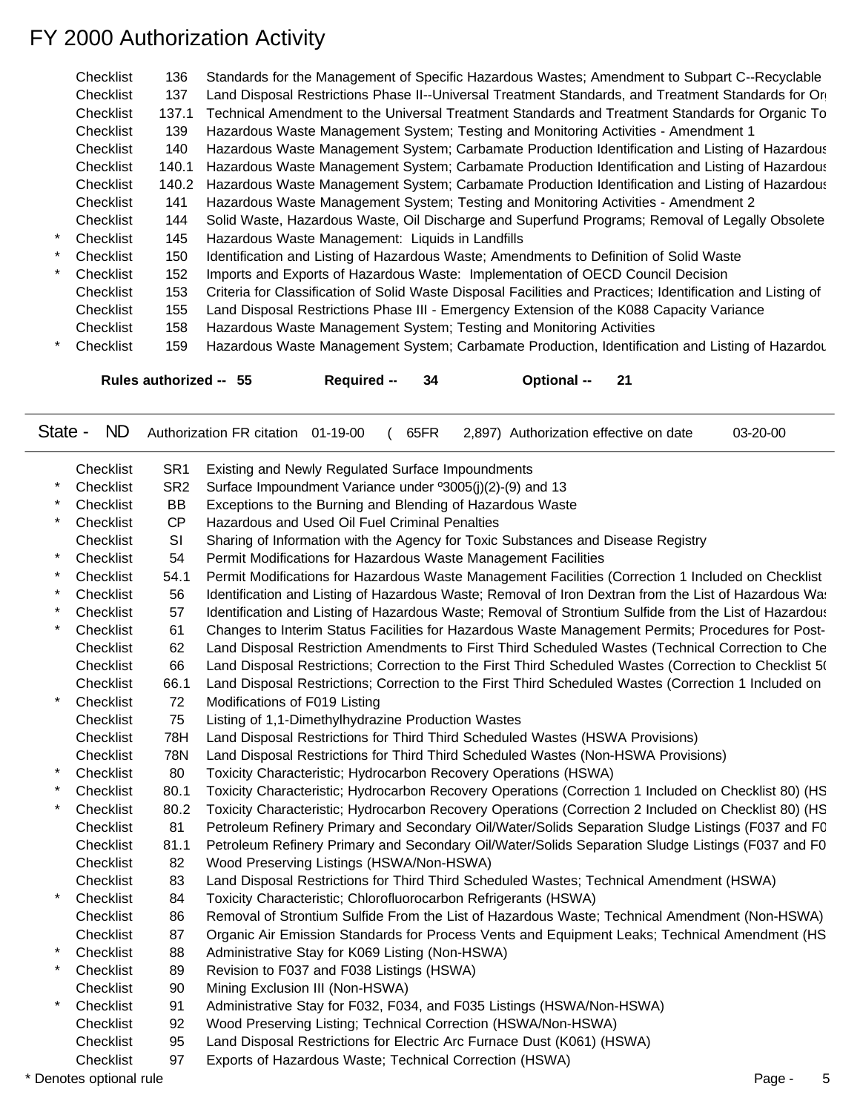| Checklist | 136   | Standards for the Management of Specific Hazardous Wastes; Amendment to Subpart C--Recyclable               |
|-----------|-------|-------------------------------------------------------------------------------------------------------------|
| Checklist | 137   | Land Disposal Restrictions Phase II--Universal Treatment Standards, and Treatment Standards for Or          |
| Checklist | 137.1 | Technical Amendment to the Universal Treatment Standards and Treatment Standards for Organic To             |
| Checklist | 139   | Hazardous Waste Management System; Testing and Monitoring Activities - Amendment 1                          |
| Checklist | 140   | Hazardous Waste Management System; Carbamate Production Identification and Listing of Hazardous             |
| Checklist | 140.1 | Hazardous Waste Management System; Carbamate Production Identification and Listing of Hazardous             |
| Checklist | 140.2 | Hazardous Waste Management System; Carbamate Production Identification and Listing of Hazardous             |
| Checklist | 141   | Hazardous Waste Management System; Testing and Monitoring Activities - Amendment 2                          |
| Checklist | 144   | Solid Waste, Hazardous Waste, Oil Discharge and Superfund Programs; Removal of Legally Obsolete             |
| Checklist | 145   | Hazardous Waste Management: Liquids in Landfills                                                            |
| Checklist | 150   | Identification and Listing of Hazardous Waste; Amendments to Definition of Solid Waste                      |
| Checklist | 152   | Imports and Exports of Hazardous Waste: Implementation of OECD Council Decision                             |
| Checklist | 153   | Criteria for Classification of Solid Waste Disposal Facilities and Practices; Identification and Listing of |
| Checklist | 155   | Land Disposal Restrictions Phase III - Emergency Extension of the K088 Capacity Variance                    |
| Checklist | 158   | Hazardous Waste Management System; Testing and Monitoring Activities                                        |
| Checklist | 159   | Hazardous Waste Management System; Carbamate Production, Identification and Listing of Hazardou             |
|           |       | Rules authorized -- 55<br>21<br>34<br><b>Optional</b> --<br>Required --                                     |

State - ND Authorization FR citation 01-19-00 ( 65FR 2,897) Authorization effective on date 03-20-00

|         | Checklist | SR <sub>1</sub> | Existing and Newly Regulated Surface Impoundments                                                      |
|---------|-----------|-----------------|--------------------------------------------------------------------------------------------------------|
|         | Checklist | SR <sub>2</sub> | Surface Impoundment Variance under °3005(j)(2)-(9) and 13                                              |
|         | Checklist | <b>BB</b>       | Exceptions to the Burning and Blending of Hazardous Waste                                              |
|         | Checklist | <b>CP</b>       | Hazardous and Used Oil Fuel Criminal Penalties                                                         |
|         | Checklist | SI              | Sharing of Information with the Agency for Toxic Substances and Disease Registry                       |
| $\star$ | Checklist | 54              | Permit Modifications for Hazardous Waste Management Facilities                                         |
|         | Checklist | 54.1            | Permit Modifications for Hazardous Waste Management Facilities (Correction 1 Included on Checklist     |
|         | Checklist | 56              | Identification and Listing of Hazardous Waste; Removal of Iron Dextran from the List of Hazardous Wa:  |
|         | Checklist | 57              | Identification and Listing of Hazardous Waste; Removal of Strontium Sulfide from the List of Hazardous |
| $\star$ | Checklist | 61              | Changes to Interim Status Facilities for Hazardous Waste Management Permits; Procedures for Post-      |
|         | Checklist | 62              | Land Disposal Restriction Amendments to First Third Scheduled Wastes (Technical Correction to Che      |
|         | Checklist | 66              | Land Disposal Restrictions; Correction to the First Third Scheduled Wastes (Correction to Checklist 5( |
|         | Checklist | 66.1            | Land Disposal Restrictions; Correction to the First Third Scheduled Wastes (Correction 1 Included on   |
| $\star$ | Checklist | 72              | Modifications of F019 Listing                                                                          |
|         | Checklist | 75              | Listing of 1,1-Dimethylhydrazine Production Wastes                                                     |
|         | Checklist | 78H             | Land Disposal Restrictions for Third Third Scheduled Wastes (HSWA Provisions)                          |
|         | Checklist | 78N             | Land Disposal Restrictions for Third Third Scheduled Wastes (Non-HSWA Provisions)                      |
| $\star$ | Checklist | 80              | Toxicity Characteristic; Hydrocarbon Recovery Operations (HSWA)                                        |
|         | Checklist | 80.1            | Toxicity Characteristic; Hydrocarbon Recovery Operations (Correction 1 Included on Checklist 80) (HS   |
|         | Checklist | 80.2            | Toxicity Characteristic; Hydrocarbon Recovery Operations (Correction 2 Included on Checklist 80) (HS   |
|         | Checklist | 81              | Petroleum Refinery Primary and Secondary Oil/Water/Solids Separation Sludge Listings (F037 and FC      |
|         | Checklist | 81.1            | Petroleum Refinery Primary and Secondary Oil/Water/Solids Separation Sludge Listings (F037 and F0      |
|         | Checklist | 82              | Wood Preserving Listings (HSWA/Non-HSWA)                                                               |
|         | Checklist | 83              | Land Disposal Restrictions for Third Third Scheduled Wastes; Technical Amendment (HSWA)                |
| $\star$ | Checklist | 84              | Toxicity Characteristic; Chlorofluorocarbon Refrigerants (HSWA)                                        |
|         | Checklist | 86              | Removal of Strontium Sulfide From the List of Hazardous Waste; Technical Amendment (Non-HSWA)          |
|         | Checklist | 87              | Organic Air Emission Standards for Process Vents and Equipment Leaks; Technical Amendment (HS          |
| $\star$ | Checklist | 88              | Administrative Stay for K069 Listing (Non-HSWA)                                                        |
| $\star$ | Checklist | 89              | Revision to F037 and F038 Listings (HSWA)                                                              |
|         | Checklist | 90              | Mining Exclusion III (Non-HSWA)                                                                        |
| $\star$ | Checklist | 91              | Administrative Stay for F032, F034, and F035 Listings (HSWA/Non-HSWA)                                  |
|         | Checklist | 92              | Wood Preserving Listing; Technical Correction (HSWA/Non-HSWA)                                          |
|         | Checklist | 95              | Land Disposal Restrictions for Electric Arc Furnace Dust (K061) (HSWA)                                 |
|         | Checklist | 97              | Exports of Hazardous Waste; Technical Correction (HSWA)                                                |

\* Denotes optional rule **Page - 5**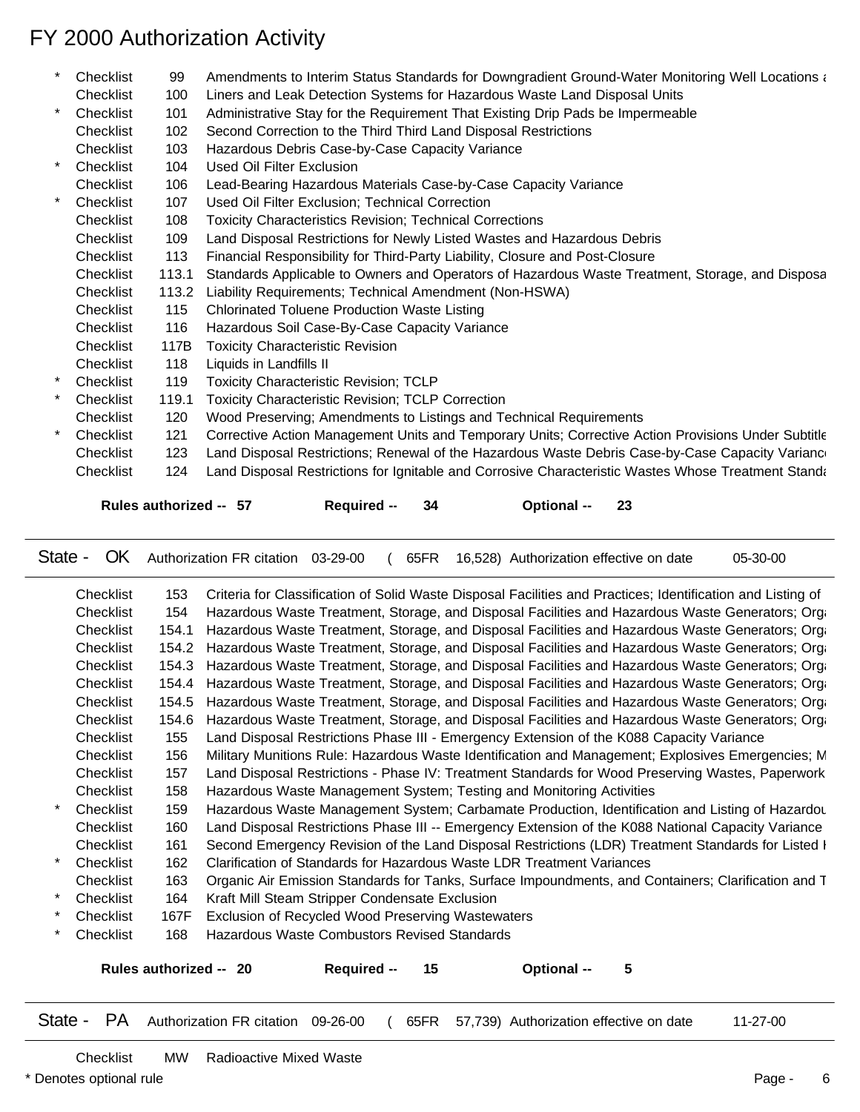| Liners and Leak Detection Systems for Hazardous Waste Land Disposal Units<br>100<br>Checklist<br>$\star$<br>Checklist<br>Administrative Stay for the Requirement That Existing Drip Pads be Impermeable<br>101<br>Second Correction to the Third Third Land Disposal Restrictions<br>102<br>Checklist<br>Hazardous Debris Case-by-Case Capacity Variance<br>Checklist<br>103<br>$\star$<br>Used Oil Filter Exclusion<br>Checklist<br>104<br>Lead-Bearing Hazardous Materials Case-by-Case Capacity Variance<br>Checklist<br>106<br>$\star$<br>Checklist<br>Used Oil Filter Exclusion; Technical Correction<br>107<br>Checklist<br><b>Toxicity Characteristics Revision; Technical Corrections</b><br>108<br>Checklist<br>Land Disposal Restrictions for Newly Listed Wastes and Hazardous Debris<br>109<br>Financial Responsibility for Third-Party Liability, Closure and Post-Closure<br>Checklist<br>113<br>Standards Applicable to Owners and Operators of Hazardous Waste Treatment, Storage, and Disposa<br>Checklist<br>113.1<br>Liability Requirements; Technical Amendment (Non-HSWA)<br>Checklist<br>113.2<br><b>Chlorinated Toluene Production Waste Listing</b><br>Checklist<br>115<br>Checklist<br>Hazardous Soil Case-By-Case Capacity Variance<br>116<br><b>Toxicity Characteristic Revision</b><br>Checklist<br>117B<br>Liquids in Landfills II<br>Checklist<br>118<br>$\ast$<br>Checklist<br><b>Toxicity Characteristic Revision; TCLP</b><br>119<br>Toxicity Characteristic Revision; TCLP Correction<br>Checklist<br>119.1<br>Wood Preserving; Amendments to Listings and Technical Requirements<br>Checklist<br>120<br>$\star$<br>Corrective Action Management Units and Temporary Units; Corrective Action Provisions Under Subtitle<br>Checklist<br>121<br>Land Disposal Restrictions; Renewal of the Hazardous Waste Debris Case-by-Case Capacity Variance<br>123<br>Checklist<br>Checklist<br>124 | $\ast$ | Checklist | 99 | Amendments to Interim Status Standards for Downgradient Ground-Water Monitoring Well Locations and  |
|---------------------------------------------------------------------------------------------------------------------------------------------------------------------------------------------------------------------------------------------------------------------------------------------------------------------------------------------------------------------------------------------------------------------------------------------------------------------------------------------------------------------------------------------------------------------------------------------------------------------------------------------------------------------------------------------------------------------------------------------------------------------------------------------------------------------------------------------------------------------------------------------------------------------------------------------------------------------------------------------------------------------------------------------------------------------------------------------------------------------------------------------------------------------------------------------------------------------------------------------------------------------------------------------------------------------------------------------------------------------------------------------------------------------------------------------------------------------------------------------------------------------------------------------------------------------------------------------------------------------------------------------------------------------------------------------------------------------------------------------------------------------------------------------------------------------------------------------------------------------------------------------------------------------------|--------|-----------|----|-----------------------------------------------------------------------------------------------------|
|                                                                                                                                                                                                                                                                                                                                                                                                                                                                                                                                                                                                                                                                                                                                                                                                                                                                                                                                                                                                                                                                                                                                                                                                                                                                                                                                                                                                                                                                                                                                                                                                                                                                                                                                                                                                                                                                                                                           |        |           |    |                                                                                                     |
|                                                                                                                                                                                                                                                                                                                                                                                                                                                                                                                                                                                                                                                                                                                                                                                                                                                                                                                                                                                                                                                                                                                                                                                                                                                                                                                                                                                                                                                                                                                                                                                                                                                                                                                                                                                                                                                                                                                           |        |           |    |                                                                                                     |
|                                                                                                                                                                                                                                                                                                                                                                                                                                                                                                                                                                                                                                                                                                                                                                                                                                                                                                                                                                                                                                                                                                                                                                                                                                                                                                                                                                                                                                                                                                                                                                                                                                                                                                                                                                                                                                                                                                                           |        |           |    |                                                                                                     |
|                                                                                                                                                                                                                                                                                                                                                                                                                                                                                                                                                                                                                                                                                                                                                                                                                                                                                                                                                                                                                                                                                                                                                                                                                                                                                                                                                                                                                                                                                                                                                                                                                                                                                                                                                                                                                                                                                                                           |        |           |    |                                                                                                     |
|                                                                                                                                                                                                                                                                                                                                                                                                                                                                                                                                                                                                                                                                                                                                                                                                                                                                                                                                                                                                                                                                                                                                                                                                                                                                                                                                                                                                                                                                                                                                                                                                                                                                                                                                                                                                                                                                                                                           |        |           |    |                                                                                                     |
|                                                                                                                                                                                                                                                                                                                                                                                                                                                                                                                                                                                                                                                                                                                                                                                                                                                                                                                                                                                                                                                                                                                                                                                                                                                                                                                                                                                                                                                                                                                                                                                                                                                                                                                                                                                                                                                                                                                           |        |           |    |                                                                                                     |
|                                                                                                                                                                                                                                                                                                                                                                                                                                                                                                                                                                                                                                                                                                                                                                                                                                                                                                                                                                                                                                                                                                                                                                                                                                                                                                                                                                                                                                                                                                                                                                                                                                                                                                                                                                                                                                                                                                                           |        |           |    |                                                                                                     |
|                                                                                                                                                                                                                                                                                                                                                                                                                                                                                                                                                                                                                                                                                                                                                                                                                                                                                                                                                                                                                                                                                                                                                                                                                                                                                                                                                                                                                                                                                                                                                                                                                                                                                                                                                                                                                                                                                                                           |        |           |    |                                                                                                     |
|                                                                                                                                                                                                                                                                                                                                                                                                                                                                                                                                                                                                                                                                                                                                                                                                                                                                                                                                                                                                                                                                                                                                                                                                                                                                                                                                                                                                                                                                                                                                                                                                                                                                                                                                                                                                                                                                                                                           |        |           |    |                                                                                                     |
|                                                                                                                                                                                                                                                                                                                                                                                                                                                                                                                                                                                                                                                                                                                                                                                                                                                                                                                                                                                                                                                                                                                                                                                                                                                                                                                                                                                                                                                                                                                                                                                                                                                                                                                                                                                                                                                                                                                           |        |           |    |                                                                                                     |
|                                                                                                                                                                                                                                                                                                                                                                                                                                                                                                                                                                                                                                                                                                                                                                                                                                                                                                                                                                                                                                                                                                                                                                                                                                                                                                                                                                                                                                                                                                                                                                                                                                                                                                                                                                                                                                                                                                                           |        |           |    |                                                                                                     |
|                                                                                                                                                                                                                                                                                                                                                                                                                                                                                                                                                                                                                                                                                                                                                                                                                                                                                                                                                                                                                                                                                                                                                                                                                                                                                                                                                                                                                                                                                                                                                                                                                                                                                                                                                                                                                                                                                                                           |        |           |    |                                                                                                     |
|                                                                                                                                                                                                                                                                                                                                                                                                                                                                                                                                                                                                                                                                                                                                                                                                                                                                                                                                                                                                                                                                                                                                                                                                                                                                                                                                                                                                                                                                                                                                                                                                                                                                                                                                                                                                                                                                                                                           |        |           |    |                                                                                                     |
|                                                                                                                                                                                                                                                                                                                                                                                                                                                                                                                                                                                                                                                                                                                                                                                                                                                                                                                                                                                                                                                                                                                                                                                                                                                                                                                                                                                                                                                                                                                                                                                                                                                                                                                                                                                                                                                                                                                           |        |           |    |                                                                                                     |
|                                                                                                                                                                                                                                                                                                                                                                                                                                                                                                                                                                                                                                                                                                                                                                                                                                                                                                                                                                                                                                                                                                                                                                                                                                                                                                                                                                                                                                                                                                                                                                                                                                                                                                                                                                                                                                                                                                                           |        |           |    |                                                                                                     |
|                                                                                                                                                                                                                                                                                                                                                                                                                                                                                                                                                                                                                                                                                                                                                                                                                                                                                                                                                                                                                                                                                                                                                                                                                                                                                                                                                                                                                                                                                                                                                                                                                                                                                                                                                                                                                                                                                                                           |        |           |    |                                                                                                     |
|                                                                                                                                                                                                                                                                                                                                                                                                                                                                                                                                                                                                                                                                                                                                                                                                                                                                                                                                                                                                                                                                                                                                                                                                                                                                                                                                                                                                                                                                                                                                                                                                                                                                                                                                                                                                                                                                                                                           |        |           |    |                                                                                                     |
|                                                                                                                                                                                                                                                                                                                                                                                                                                                                                                                                                                                                                                                                                                                                                                                                                                                                                                                                                                                                                                                                                                                                                                                                                                                                                                                                                                                                                                                                                                                                                                                                                                                                                                                                                                                                                                                                                                                           |        |           |    |                                                                                                     |
|                                                                                                                                                                                                                                                                                                                                                                                                                                                                                                                                                                                                                                                                                                                                                                                                                                                                                                                                                                                                                                                                                                                                                                                                                                                                                                                                                                                                                                                                                                                                                                                                                                                                                                                                                                                                                                                                                                                           |        |           |    |                                                                                                     |
|                                                                                                                                                                                                                                                                                                                                                                                                                                                                                                                                                                                                                                                                                                                                                                                                                                                                                                                                                                                                                                                                                                                                                                                                                                                                                                                                                                                                                                                                                                                                                                                                                                                                                                                                                                                                                                                                                                                           |        |           |    |                                                                                                     |
|                                                                                                                                                                                                                                                                                                                                                                                                                                                                                                                                                                                                                                                                                                                                                                                                                                                                                                                                                                                                                                                                                                                                                                                                                                                                                                                                                                                                                                                                                                                                                                                                                                                                                                                                                                                                                                                                                                                           |        |           |    |                                                                                                     |
|                                                                                                                                                                                                                                                                                                                                                                                                                                                                                                                                                                                                                                                                                                                                                                                                                                                                                                                                                                                                                                                                                                                                                                                                                                                                                                                                                                                                                                                                                                                                                                                                                                                                                                                                                                                                                                                                                                                           |        |           |    | Land Disposal Restrictions for Ignitable and Corrosive Characteristic Wastes Whose Treatment Standa |
| Rules authorized -- 57<br>23<br><b>Required --</b><br>34<br>Optional --                                                                                                                                                                                                                                                                                                                                                                                                                                                                                                                                                                                                                                                                                                                                                                                                                                                                                                                                                                                                                                                                                                                                                                                                                                                                                                                                                                                                                                                                                                                                                                                                                                                                                                                                                                                                                                                   |        |           |    |                                                                                                     |

State - OK Authorization FR citation 03-29-00 ( 65FR 16,528) Authorization effective on date 05-30-00

| Checklist                                                                 | 153   | Criteria for Classification of Solid Waste Disposal Facilities and Practices; Identification and Listing of |  |  |  |  |  |
|---------------------------------------------------------------------------|-------|-------------------------------------------------------------------------------------------------------------|--|--|--|--|--|
| Checklist                                                                 | 154   | Hazardous Waste Treatment, Storage, and Disposal Facilities and Hazardous Waste Generators; Orga            |  |  |  |  |  |
| Checklist                                                                 | 154.1 | Hazardous Waste Treatment, Storage, and Disposal Facilities and Hazardous Waste Generators; Orga            |  |  |  |  |  |
| Checklist                                                                 | 154.2 | Hazardous Waste Treatment, Storage, and Disposal Facilities and Hazardous Waste Generators; Orga            |  |  |  |  |  |
| Checklist                                                                 | 154.3 | Hazardous Waste Treatment, Storage, and Disposal Facilities and Hazardous Waste Generators; Orga            |  |  |  |  |  |
| Checklist                                                                 |       | 154.4 Hazardous Waste Treatment, Storage, and Disposal Facilities and Hazardous Waste Generators; Orga      |  |  |  |  |  |
| Checklist                                                                 | 154.5 | Hazardous Waste Treatment, Storage, and Disposal Facilities and Hazardous Waste Generators; Orga            |  |  |  |  |  |
| Checklist                                                                 | 154.6 | Hazardous Waste Treatment, Storage, and Disposal Facilities and Hazardous Waste Generators; Orga            |  |  |  |  |  |
| Checklist                                                                 | 155   | Land Disposal Restrictions Phase III - Emergency Extension of the K088 Capacity Variance                    |  |  |  |  |  |
| Checklist                                                                 | 156   | Military Munitions Rule: Hazardous Waste Identification and Management; Explosives Emergencies; M           |  |  |  |  |  |
| Checklist                                                                 | 157   | Land Disposal Restrictions - Phase IV: Treatment Standards for Wood Preserving Wastes, Paperwork            |  |  |  |  |  |
| Checklist                                                                 | 158   | Hazardous Waste Management System; Testing and Monitoring Activities                                        |  |  |  |  |  |
| Checklist                                                                 | 159   | Hazardous Waste Management System; Carbamate Production, Identification and Listing of Hazardou             |  |  |  |  |  |
| Checklist                                                                 | 160   | Land Disposal Restrictions Phase III -- Emergency Extension of the K088 National Capacity Variance          |  |  |  |  |  |
| Checklist                                                                 | 161   | Second Emergency Revision of the Land Disposal Restrictions (LDR) Treatment Standards for Listed I          |  |  |  |  |  |
| Checklist                                                                 | 162   | Clarification of Standards for Hazardous Waste LDR Treatment Variances                                      |  |  |  |  |  |
| Checklist                                                                 | 163   | Organic Air Emission Standards for Tanks, Surface Impoundments, and Containers; Clarification and T         |  |  |  |  |  |
| Checklist                                                                 | 164   | Kraft Mill Steam Stripper Condensate Exclusion                                                              |  |  |  |  |  |
| Checklist                                                                 | 167F  | Exclusion of Recycled Wood Preserving Wastewaters                                                           |  |  |  |  |  |
| Checklist                                                                 | 168   | Hazardous Waste Combustors Revised Standards                                                                |  |  |  |  |  |
|                                                                           |       |                                                                                                             |  |  |  |  |  |
| Rules authorized -- 20<br><b>Required --</b><br><b>Optional --</b><br>15. |       |                                                                                                             |  |  |  |  |  |

State - PA Authorization FR citation 09-26-00 ( 65FR 57,739) Authorization effective on date 11-27-00

Checklist MW Radioactive Mixed Waste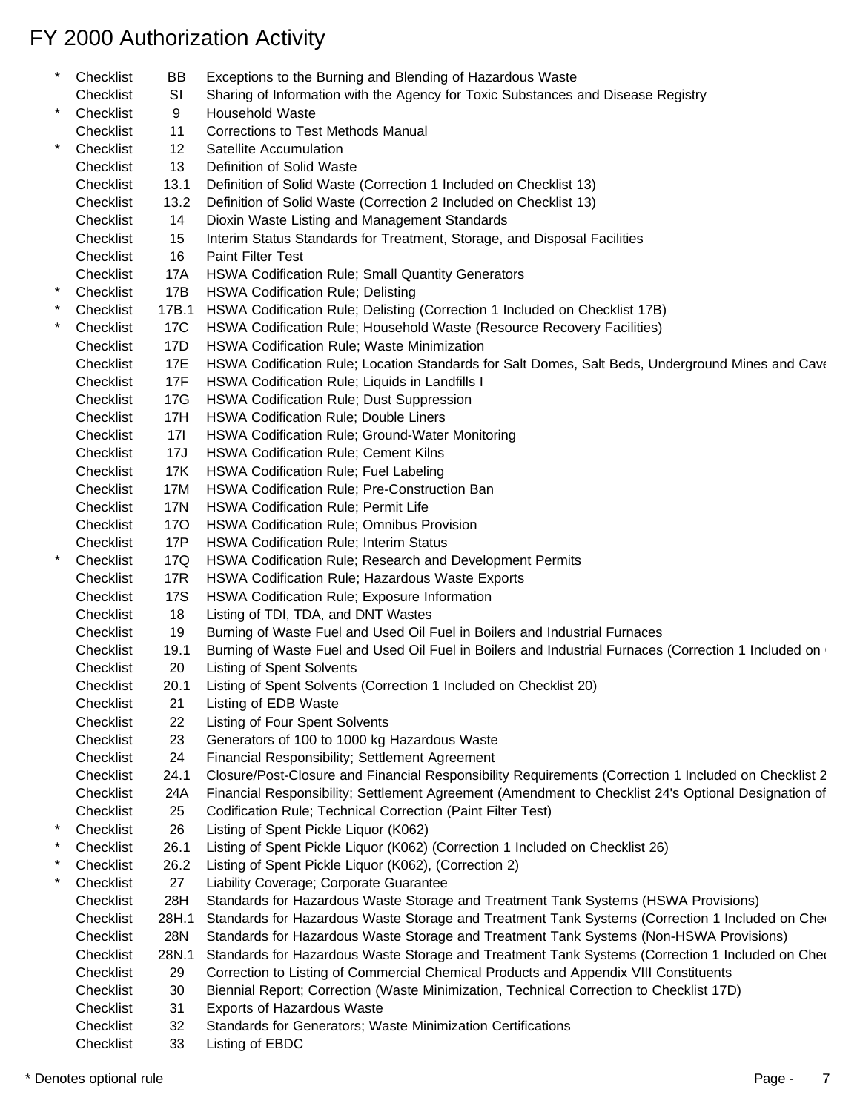| *        | Checklist | ВB                | Exceptions to the Burning and Blending of Hazardous Waste                                            |
|----------|-----------|-------------------|------------------------------------------------------------------------------------------------------|
|          | Checklist | SI                | Sharing of Information with the Agency for Toxic Substances and Disease Registry                     |
| $\star$  | Checklist | 9                 | Household Waste                                                                                      |
|          | Checklist | 11                | Corrections to Test Methods Manual                                                                   |
| $\star$  | Checklist | $12 \overline{ }$ | Satellite Accumulation                                                                               |
|          | Checklist | 13                | Definition of Solid Waste                                                                            |
|          | Checklist | 13.1              | Definition of Solid Waste (Correction 1 Included on Checklist 13)                                    |
|          | Checklist | 13.2              | Definition of Solid Waste (Correction 2 Included on Checklist 13)                                    |
|          | Checklist | 14                | Dioxin Waste Listing and Management Standards                                                        |
|          | Checklist | 15                | Interim Status Standards for Treatment, Storage, and Disposal Facilities                             |
|          | Checklist | 16                | <b>Paint Filter Test</b>                                                                             |
|          | Checklist | 17A               | HSWA Codification Rule; Small Quantity Generators                                                    |
| $\star$  | Checklist | 17B               | <b>HSWA Codification Rule; Delisting</b>                                                             |
|          | Checklist | 17B.1             | HSWA Codification Rule; Delisting (Correction 1 Included on Checklist 17B)                           |
|          | Checklist | 17C               | HSWA Codification Rule; Household Waste (Resource Recovery Facilities)                               |
|          | Checklist | 17D               | HSWA Codification Rule; Waste Minimization                                                           |
|          | Checklist | 17E               | HSWA Codification Rule; Location Standards for Salt Domes, Salt Beds, Underground Mines and Cave     |
|          |           |                   |                                                                                                      |
|          | Checklist | 17F               | HSWA Codification Rule; Liquids in Landfills I                                                       |
|          | Checklist | 17G               | HSWA Codification Rule; Dust Suppression                                                             |
|          | Checklist | 17H               | <b>HSWA Codification Rule; Double Liners</b>                                                         |
|          | Checklist | 171               | HSWA Codification Rule; Ground-Water Monitoring                                                      |
|          | Checklist | 17J               | <b>HSWA Codification Rule; Cement Kilns</b>                                                          |
|          | Checklist | 17K               | HSWA Codification Rule; Fuel Labeling                                                                |
|          | Checklist | 17M               | HSWA Codification Rule; Pre-Construction Ban                                                         |
|          | Checklist | 17N               | HSWA Codification Rule; Permit Life                                                                  |
|          | Checklist | 17O               | HSWA Codification Rule; Omnibus Provision                                                            |
|          | Checklist | 17P               | <b>HSWA Codification Rule; Interim Status</b>                                                        |
| $^\star$ | Checklist | 17Q               | HSWA Codification Rule; Research and Development Permits                                             |
|          | Checklist | 17R               | HSWA Codification Rule; Hazardous Waste Exports                                                      |
|          | Checklist | 17S               | HSWA Codification Rule; Exposure Information                                                         |
|          | Checklist | 18                | Listing of TDI, TDA, and DNT Wastes                                                                  |
|          | Checklist | 19                | Burning of Waste Fuel and Used Oil Fuel in Boilers and Industrial Furnaces                           |
|          | Checklist | 19.1              | Burning of Waste Fuel and Used Oil Fuel in Boilers and Industrial Furnaces (Correction 1 Included on |
|          | Checklist | 20                | <b>Listing of Spent Solvents</b>                                                                     |
|          | Checklist | 20.1              | Listing of Spent Solvents (Correction 1 Included on Checklist 20)                                    |
|          | Checklist | 21                | Listing of EDB Waste                                                                                 |
|          | Checklist | 22                | Listing of Four Spent Solvents                                                                       |
|          | Checklist | 23                | Generators of 100 to 1000 kg Hazardous Waste                                                         |
|          | Checklist | 24                | Financial Responsibility; Settlement Agreement                                                       |
|          | Checklist | 24.1              | Closure/Post-Closure and Financial Responsibility Requirements (Correction 1 Included on Checklist 2 |
|          | Checklist | 24A               | Financial Responsibility; Settlement Agreement (Amendment to Checklist 24's Optional Designation of  |
|          | Checklist | 25                | Codification Rule; Technical Correction (Paint Filter Test)                                          |
|          | Checklist | 26                | Listing of Spent Pickle Liquor (K062)                                                                |
|          | Checklist | 26.1              | Listing of Spent Pickle Liquor (K062) (Correction 1 Included on Checklist 26)                        |
|          | Checklist | 26.2              | Listing of Spent Pickle Liquor (K062), (Correction 2)                                                |
|          | Checklist | 27                | Liability Coverage; Corporate Guarantee                                                              |
|          | Checklist | 28H               | Standards for Hazardous Waste Storage and Treatment Tank Systems (HSWA Provisions)                   |
|          | Checklist | 28H.1             | Standards for Hazardous Waste Storage and Treatment Tank Systems (Correction 1 Included on Che       |
|          | Checklist | 28N               | Standards for Hazardous Waste Storage and Treatment Tank Systems (Non-HSWA Provisions)               |
|          | Checklist | 28N.1             | Standards for Hazardous Waste Storage and Treatment Tank Systems (Correction 1 Included on Cher      |
|          | Checklist | 29                | Correction to Listing of Commercial Chemical Products and Appendix VIII Constituents                 |
|          |           |                   |                                                                                                      |
|          | Checklist | 30                | Biennial Report; Correction (Waste Minimization, Technical Correction to Checklist 17D)              |
|          | Checklist | 31                | Exports of Hazardous Waste                                                                           |
|          | Checklist | 32                | Standards for Generators; Waste Minimization Certifications                                          |
|          | Checklist | 33                | Listing of EBDC                                                                                      |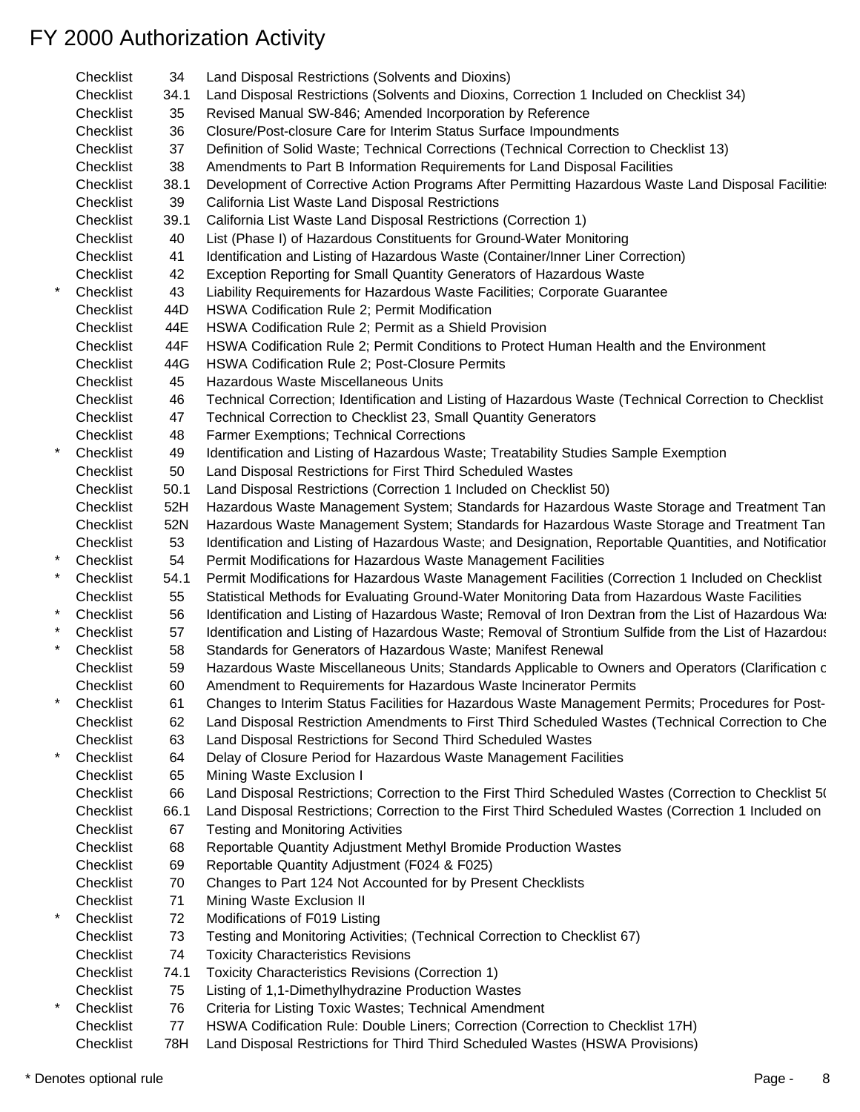| Checklist | 34   | Land Disposal Restrictions (Solvents and Dioxins)                                                       |
|-----------|------|---------------------------------------------------------------------------------------------------------|
| Checklist | 34.1 | Land Disposal Restrictions (Solvents and Dioxins, Correction 1 Included on Checklist 34)                |
| Checklist | 35   | Revised Manual SW-846; Amended Incorporation by Reference                                               |
| Checklist | 36   | Closure/Post-closure Care for Interim Status Surface Impoundments                                       |
| Checklist | 37   | Definition of Solid Waste; Technical Corrections (Technical Correction to Checklist 13)                 |
| Checklist | 38   | Amendments to Part B Information Requirements for Land Disposal Facilities                              |
| Checklist | 38.1 | Development of Corrective Action Programs After Permitting Hazardous Waste Land Disposal Facilitie      |
| Checklist | 39   | California List Waste Land Disposal Restrictions                                                        |
| Checklist | 39.1 | California List Waste Land Disposal Restrictions (Correction 1)                                         |
| Checklist | 40   | List (Phase I) of Hazardous Constituents for Ground-Water Monitoring                                    |
| Checklist | 41   | Identification and Listing of Hazardous Waste (Container/Inner Liner Correction)                        |
| Checklist | 42   | Exception Reporting for Small Quantity Generators of Hazardous Waste                                    |
|           |      |                                                                                                         |
| Checklist | 43   | Liability Requirements for Hazardous Waste Facilities; Corporate Guarantee                              |
| Checklist | 44D  | HSWA Codification Rule 2; Permit Modification                                                           |
| Checklist | 44E  | HSWA Codification Rule 2; Permit as a Shield Provision                                                  |
| Checklist | 44F  | HSWA Codification Rule 2; Permit Conditions to Protect Human Health and the Environment                 |
| Checklist | 44G  | HSWA Codification Rule 2; Post-Closure Permits                                                          |
| Checklist | 45   | Hazardous Waste Miscellaneous Units                                                                     |
| Checklist | 46   | Technical Correction; Identification and Listing of Hazardous Waste (Technical Correction to Checklist  |
| Checklist | 47   | Technical Correction to Checklist 23, Small Quantity Generators                                         |
| Checklist | 48   | Farmer Exemptions; Technical Corrections                                                                |
| Checklist | 49   | Identification and Listing of Hazardous Waste; Treatability Studies Sample Exemption                    |
| Checklist | 50   | Land Disposal Restrictions for First Third Scheduled Wastes                                             |
| Checklist | 50.1 | Land Disposal Restrictions (Correction 1 Included on Checklist 50)                                      |
| Checklist | 52H  | Hazardous Waste Management System; Standards for Hazardous Waste Storage and Treatment Tan              |
| Checklist | 52N  | Hazardous Waste Management System; Standards for Hazardous Waste Storage and Treatment Tan              |
| Checklist | 53   | Identification and Listing of Hazardous Waste; and Designation, Reportable Quantities, and Notification |
| Checklist | 54   | Permit Modifications for Hazardous Waste Management Facilities                                          |
| Checklist | 54.1 | Permit Modifications for Hazardous Waste Management Facilities (Correction 1 Included on Checklist      |
| Checklist | 55   | Statistical Methods for Evaluating Ground-Water Monitoring Data from Hazardous Waste Facilities         |
| Checklist | 56   | Identification and Listing of Hazardous Waste; Removal of Iron Dextran from the List of Hazardous Was   |
| Checklist | 57   | Identification and Listing of Hazardous Waste; Removal of Strontium Sulfide from the List of Hazardous  |
| Checklist | 58   | Standards for Generators of Hazardous Waste; Manifest Renewal                                           |
| Checklist | 59   | Hazardous Waste Miscellaneous Units; Standards Applicable to Owners and Operators (Clarification c      |
| Checklist | 60   | Amendment to Requirements for Hazardous Waste Incinerator Permits                                       |
| Checklist | 61   | Changes to Interim Status Facilities for Hazardous Waste Management Permits; Procedures for Post-       |
| Checklist | 62   | Land Disposal Restriction Amendments to First Third Scheduled Wastes (Technical Correction to Che       |
| Checklist | 63   | Land Disposal Restrictions for Second Third Scheduled Wastes                                            |
| Checklist | 64   | Delay of Closure Period for Hazardous Waste Management Facilities                                       |
|           |      | Mining Waste Exclusion I                                                                                |
| Checklist | 65   |                                                                                                         |
| Checklist | 66   | Land Disposal Restrictions; Correction to the First Third Scheduled Wastes (Correction to Checklist 5(  |
| Checklist | 66.1 | Land Disposal Restrictions; Correction to the First Third Scheduled Wastes (Correction 1 Included on    |
| Checklist | 67   | <b>Testing and Monitoring Activities</b>                                                                |
| Checklist | 68   | Reportable Quantity Adjustment Methyl Bromide Production Wastes                                         |
| Checklist | 69   | Reportable Quantity Adjustment (F024 & F025)                                                            |
| Checklist | 70   | Changes to Part 124 Not Accounted for by Present Checklists                                             |
| Checklist | 71   | Mining Waste Exclusion II                                                                               |
| Checklist | 72   | Modifications of F019 Listing                                                                           |
| Checklist | 73   | Testing and Monitoring Activities; (Technical Correction to Checklist 67)                               |
| Checklist | 74   | <b>Toxicity Characteristics Revisions</b>                                                               |
| Checklist | 74.1 | Toxicity Characteristics Revisions (Correction 1)                                                       |
| Checklist | 75   | Listing of 1,1-Dimethylhydrazine Production Wastes                                                      |
| Checklist | 76   | Criteria for Listing Toxic Wastes; Technical Amendment                                                  |
| Checklist | 77   | HSWA Codification Rule: Double Liners; Correction (Correction to Checklist 17H)                         |
| Checklist | 78H  | Land Disposal Restrictions for Third Third Scheduled Wastes (HSWA Provisions)                           |
|           |      |                                                                                                         |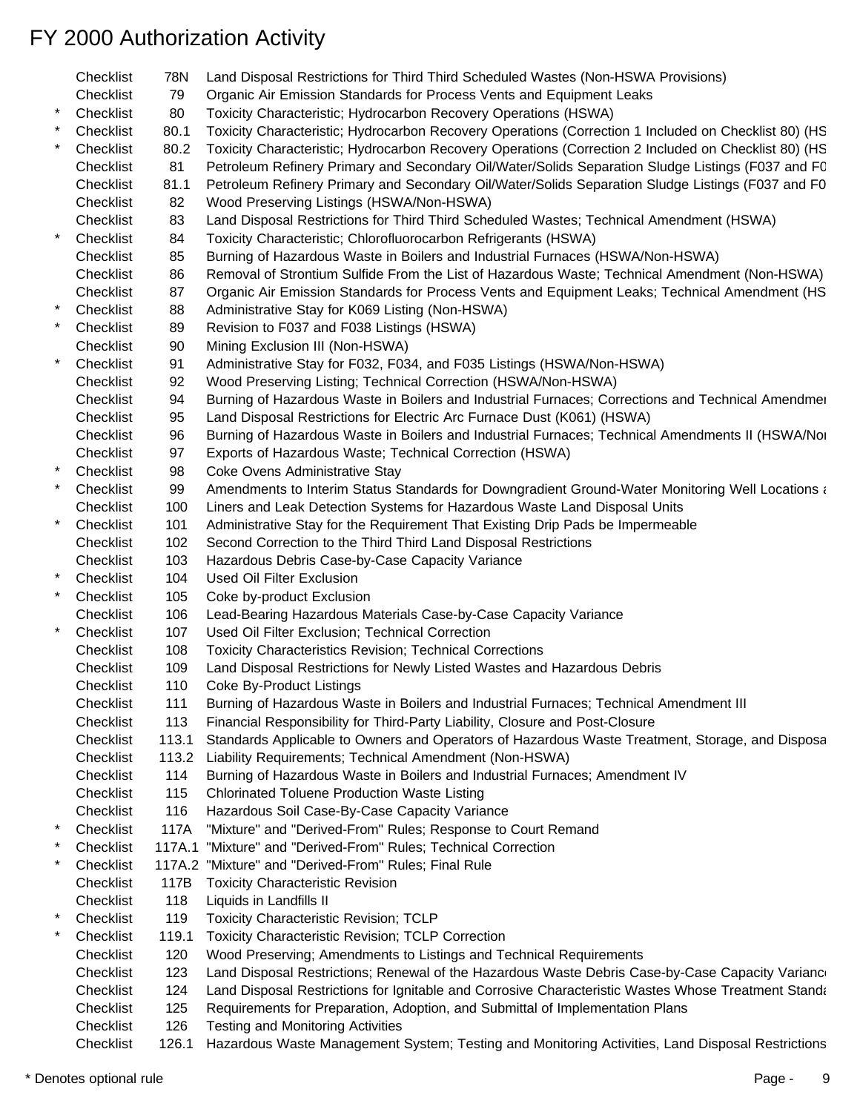- Checklist 78N Land Disposal Restrictions for Third Third Scheduled Wastes (Non-HSWA Provisions) Checklist 79 Organic Air Emission Standards for Process Vents and Equipment Leaks Checklist 80 Toxicity Characteristic; Hydrocarbon Recovery Operations (HSWA) Checklist 80.1 Toxicity Characteristic; Hydrocarbon Recovery Operations (Correction 1 Included on Checklist 80) (HS Checklist 80.2 Toxicity Characteristic; Hydrocarbon Recovery Operations (Correction 2 Included on Checklist 80) (HS Checklist 81 Petroleum Refinery Primary and Secondary Oil/Water/Solids Separation Sludge Listings (F037 and FC Checklist 81.1 Petroleum Refinery Primary and Secondary Oil/Water/Solids Separation Sludge Listings (F037 and F0 Checklist 82 Wood Preserving Listings (HSWA/Non-HSWA) Checklist 83 Land Disposal Restrictions for Third Third Scheduled Wastes; Technical Amendment (HSWA) Checklist 84 Toxicity Characteristic; Chlorofluorocarbon Refrigerants (HSWA) Checklist 85 Burning of Hazardous Waste in Boilers and Industrial Furnaces (HSWA/Non-HSWA) Checklist 86 Removal of Strontium Sulfide From the List of Hazardous Waste; Technical Amendment (Non-HSWA) Checklist 87 Organic Air Emission Standards for Process Vents and Equipment Leaks; Technical Amendment (HS Checklist 88 Administrative Stay for K069 Listing (Non-HSWA) Checklist 89 Revision to F037 and F038 Listings (HSWA) Checklist 90 Mining Exclusion III (Non-HSWA) \* Checklist 91 Administrative Stay for F032, F034, and F035 Listings (HSWA/Non-HSWA) Checklist 92 Wood Preserving Listing; Technical Correction (HSWA/Non-HSWA) Checklist 94 Burning of Hazardous Waste in Boilers and Industrial Furnaces; Corrections and Technical Amendmen Checklist 95 Land Disposal Restrictions for Electric Arc Furnace Dust (K061) (HSWA) Checklist 96 Burning of Hazardous Waste in Boilers and Industrial Furnaces; Technical Amendments II (HSWA/Non-Checklist 97 Exports of Hazardous Waste; Technical Correction (HSWA) Checklist 98 Coke Ovens Administrative Stay the Checklist 99 Amendments to Interim Status Standards for Downgradient Ground-Water Monitoring Well Locations at Hazardous at Hazardous at Hazardous at Hazardous (Non-Hazardous Magnetics Hazardous Magnetics Hazardous Mag Checklist 100 Liners and Leak Detection Systems for Hazardous Waste Land Disposal Units Checklist 101 Administrative Stay for the Requirement That Existing Drip Pads be Impermeable Checklist 102 Second Correction to the Third Third Land Disposal Restrictions Checklist 103 Hazardous Debris Case-by-Case Capacity Variance Checklist 104 Used Oil Filter Exclusion Checklist 105 Coke by-product Exclusion Checklist 106 Lead-Bearing Hazardous Materials Case-by-Case Capacity Variance Checklist 107 Used Oil Filter Exclusion; Technical Correction Checklist 108 Toxicity Characteristics Revision; Technical Corrections Checklist 109 Land Disposal Restrictions for Newly Listed Wastes and Hazardous Debris Checklist 110 Coke By-Product Listings Checklist 111 Burning of Hazardous Waste in Boilers and Industrial Furnaces; Technical Amendment III Checklist 113 Financial Responsibility for Third-Party Liability, Closure and Post-Closure Checklist 113.1 Standards Applicable to Owners and Operators of Hazardous Waste Treatment, Storage, and Disposa Checklist 113.2 Liability Requirements; Technical Amendment (Non-HSWA) Checklist 114 Burning of Hazardous Waste in Boilers and Industrial Furnaces; Amendment IV Checklist 115 Chlorinated Toluene Production Waste Listing Checklist 116 Hazardous Soil Case-By-Case Capacity Variance \* Checklist 117A "Mixture" and "Derived-From" Rules; Response to Court Remand \* Checklist 117A.1 "Mixture" and "Derived-From" Rules; Technical Correction Checklist 117A.2 "Mixture" and "Derived-From" Rules; Final Rule Checklist 117B Toxicity Characteristic Revision Checklist 118 Liquids in Landfills II Checklist 119 Toxicity Characteristic Revision; TCLP Checklist 119.1 Toxicity Characteristic Revision; TCLP Correction Checklist 120 Wood Preserving; Amendments to Listings and Technical Requirements Checklist 123 Land Disposal Restrictions; Renewal of the Hazardous Waste Debris Case-by-Case Capacity Variance Checklist 124 Land Disposal Restrictions for Ignitable and Corrosive Characteristic Wastes Whose Treatment Standards Checklist 125 Requirements for Preparation, Adoption, and Submittal of Implementation Plans Checklist 126 Testing and Monitoring Activities
	- Checklist 126.1 Hazardous Waste Management System; Testing and Monitoring Activities, Land Disposal Restrictions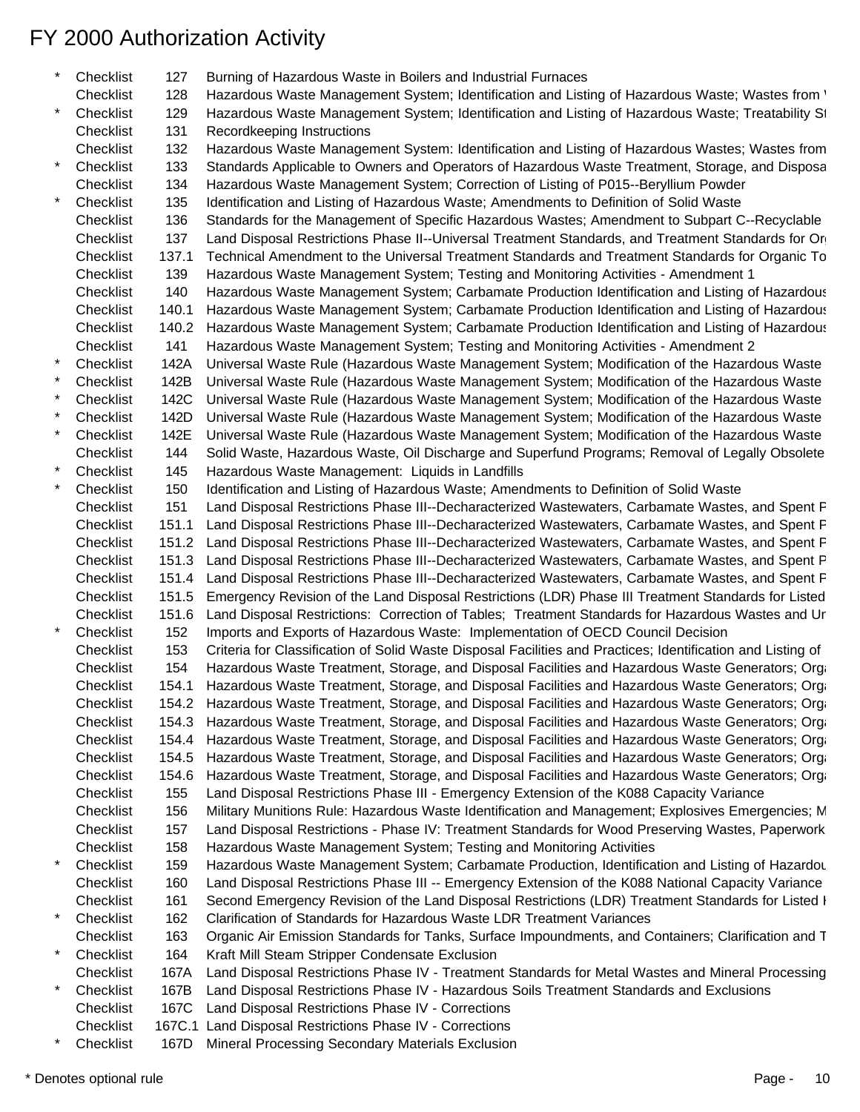| Checklist | 127   | Burning of Hazardous Waste in Boilers and Industrial Furnaces                                               |
|-----------|-------|-------------------------------------------------------------------------------------------------------------|
| Checklist | 128   | Hazardous Waste Management System; Identification and Listing of Hazardous Waste; Wastes from '             |
| Checklist | 129   | Hazardous Waste Management System; Identification and Listing of Hazardous Waste; Treatability St           |
| Checklist | 131   | Recordkeeping Instructions                                                                                  |
| Checklist | 132   | Hazardous Waste Management System: Identification and Listing of Hazardous Wastes; Wastes from              |
| Checklist | 133   | Standards Applicable to Owners and Operators of Hazardous Waste Treatment, Storage, and Disposa             |
| Checklist | 134   | Hazardous Waste Management System; Correction of Listing of P015--Beryllium Powder                          |
| Checklist | 135   | Identification and Listing of Hazardous Waste; Amendments to Definition of Solid Waste                      |
| Checklist | 136   | Standards for the Management of Specific Hazardous Wastes; Amendment to Subpart C--Recyclable               |
| Checklist | 137   | Land Disposal Restrictions Phase II--Universal Treatment Standards, and Treatment Standards for Or          |
| Checklist | 137.1 | Technical Amendment to the Universal Treatment Standards and Treatment Standards for Organic To             |
| Checklist | 139   | Hazardous Waste Management System; Testing and Monitoring Activities - Amendment 1                          |
| Checklist | 140   | Hazardous Waste Management System; Carbamate Production Identification and Listing of Hazardous             |
| Checklist | 140.1 | Hazardous Waste Management System; Carbamate Production Identification and Listing of Hazardous             |
| Checklist | 140.2 | Hazardous Waste Management System; Carbamate Production Identification and Listing of Hazardous             |
| Checklist | 141   | Hazardous Waste Management System; Testing and Monitoring Activities - Amendment 2                          |
| Checklist | 142A  | Universal Waste Rule (Hazardous Waste Management System; Modification of the Hazardous Waste                |
| Checklist | 142B  | Universal Waste Rule (Hazardous Waste Management System; Modification of the Hazardous Waste                |
| Checklist | 142C  | Universal Waste Rule (Hazardous Waste Management System; Modification of the Hazardous Waste                |
| Checklist | 142D  | Universal Waste Rule (Hazardous Waste Management System; Modification of the Hazardous Waste                |
| Checklist | 142E  | Universal Waste Rule (Hazardous Waste Management System; Modification of the Hazardous Waste                |
| Checklist | 144   | Solid Waste, Hazardous Waste, Oil Discharge and Superfund Programs; Removal of Legally Obsolete             |
| Checklist | 145   | Hazardous Waste Management: Liquids in Landfills                                                            |
| Checklist | 150   | Identification and Listing of Hazardous Waste; Amendments to Definition of Solid Waste                      |
| Checklist | 151   | Land Disposal Restrictions Phase III--Decharacterized Wastewaters, Carbamate Wastes, and Spent F            |
| Checklist | 151.1 | Land Disposal Restrictions Phase III--Decharacterized Wastewaters, Carbamate Wastes, and Spent F            |
| Checklist | 151.2 | Land Disposal Restrictions Phase III--Decharacterized Wastewaters, Carbamate Wastes, and Spent F            |
| Checklist | 151.3 | Land Disposal Restrictions Phase III--Decharacterized Wastewaters, Carbamate Wastes, and Spent P            |
| Checklist | 151.4 | Land Disposal Restrictions Phase III--Decharacterized Wastewaters, Carbamate Wastes, and Spent F            |
| Checklist | 151.5 | Emergency Revision of the Land Disposal Restrictions (LDR) Phase III Treatment Standards for Listed         |
| Checklist | 151.6 | Land Disposal Restrictions: Correction of Tables; Treatment Standards for Hazardous Wastes and Ur           |
| Checklist |       |                                                                                                             |
|           | 152   | Imports and Exports of Hazardous Waste: Implementation of OECD Council Decision                             |
| Checklist | 153   | Criteria for Classification of Solid Waste Disposal Facilities and Practices; Identification and Listing of |
| Checklist | 154   | Hazardous Waste Treatment, Storage, and Disposal Facilities and Hazardous Waste Generators; Orga            |
| Checklist | 154.1 | Hazardous Waste Treatment, Storage, and Disposal Facilities and Hazardous Waste Generators; Orga            |
| Checklist |       | 154.2 Hazardous Waste Treatment, Storage, and Disposal Facilities and Hazardous Waste Generators; Orga      |
| Checklist | 154.3 | Hazardous Waste Treatment, Storage, and Disposal Facilities and Hazardous Waste Generators; Orga            |
| Checklist |       | 154.4 Hazardous Waste Treatment, Storage, and Disposal Facilities and Hazardous Waste Generators; Orga      |
| Checklist | 154.5 | Hazardous Waste Treatment, Storage, and Disposal Facilities and Hazardous Waste Generators; Orga            |
| Checklist | 154.6 | Hazardous Waste Treatment, Storage, and Disposal Facilities and Hazardous Waste Generators; Orga            |
| Checklist | 155   | Land Disposal Restrictions Phase III - Emergency Extension of the K088 Capacity Variance                    |
| Checklist | 156   | Military Munitions Rule: Hazardous Waste Identification and Management; Explosives Emergencies; M           |
| Checklist | 157   | Land Disposal Restrictions - Phase IV: Treatment Standards for Wood Preserving Wastes, Paperwork            |
| Checklist | 158   | Hazardous Waste Management System; Testing and Monitoring Activities                                        |
| Checklist | 159   | Hazardous Waste Management System; Carbamate Production, Identification and Listing of Hazardou             |
| Checklist | 160   | Land Disposal Restrictions Phase III -- Emergency Extension of the K088 National Capacity Variance          |
| Checklist | 161   | Second Emergency Revision of the Land Disposal Restrictions (LDR) Treatment Standards for Listed I          |
| Checklist | 162   | Clarification of Standards for Hazardous Waste LDR Treatment Variances                                      |
| Checklist | 163   | Organic Air Emission Standards for Tanks, Surface Impoundments, and Containers; Clarification and T         |
| Checklist | 164   | Kraft Mill Steam Stripper Condensate Exclusion                                                              |
| Checklist | 167A  | Land Disposal Restrictions Phase IV - Treatment Standards for Metal Wastes and Mineral Processing           |
| Checklist | 167B  | Land Disposal Restrictions Phase IV - Hazardous Soils Treatment Standards and Exclusions                    |
| Checklist |       | 167C Land Disposal Restrictions Phase IV - Corrections                                                      |
| Checklist |       | 167C.1 Land Disposal Restrictions Phase IV - Corrections                                                    |
| Checklist |       | 167D Mineral Processing Secondary Materials Exclusion                                                       |
|           |       |                                                                                                             |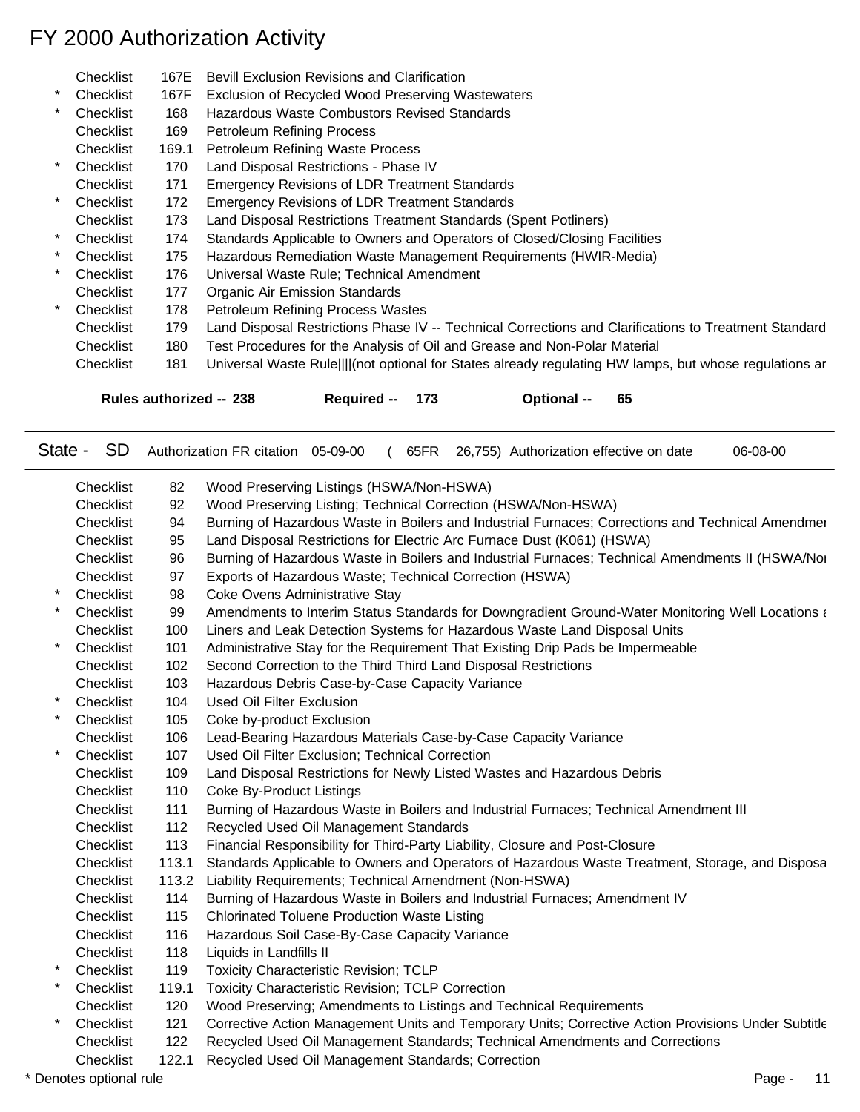|         | Checklist | 167E  | <b>Bevill Exclusion Revisions and Clarification</b>                                                     |
|---------|-----------|-------|---------------------------------------------------------------------------------------------------------|
| $\ast$  | Checklist | 167F  | Exclusion of Recycled Wood Preserving Wastewaters                                                       |
| $\star$ | Checklist | 168   | Hazardous Waste Combustors Revised Standards                                                            |
|         | Checklist | 169   | <b>Petroleum Refining Process</b>                                                                       |
|         | Checklist | 169.1 | Petroleum Refining Waste Process                                                                        |
| $\star$ | Checklist | 170   | Land Disposal Restrictions - Phase IV                                                                   |
|         | Checklist | 171   | <b>Emergency Revisions of LDR Treatment Standards</b>                                                   |
| $\star$ | Checklist | 172   | <b>Emergency Revisions of LDR Treatment Standards</b>                                                   |
|         | Checklist | 173   | Land Disposal Restrictions Treatment Standards (Spent Potliners)                                        |
| $\star$ | Checklist | 174   | Standards Applicable to Owners and Operators of Closed/Closing Facilities                               |
| $\star$ | Checklist | 175   | Hazardous Remediation Waste Management Requirements (HWIR-Media)                                        |
| $\ast$  | Checklist | 176   | Universal Waste Rule; Technical Amendment                                                               |
|         | Checklist | 177   | <b>Organic Air Emission Standards</b>                                                                   |
| $\star$ | Checklist | 178   | <b>Petroleum Refining Process Wastes</b>                                                                |
|         | Checklist | 179   | Land Disposal Restrictions Phase IV -- Technical Corrections and Clarifications to Treatment Standard   |
|         | Checklist | 180   | Test Procedures for the Analysis of Oil and Grease and Non-Polar Material                               |
|         | Checklist | 181   | Universal Waste Rule    (not optional for States already regulating HW lamps, but whose regulations are |
|         |           |       |                                                                                                         |

**Rules authorized -- 238 Required -- 173 Optional -- 65**

| State - | <b>SD</b> |       | Authorization FR citation 05-09-00<br>65FR 26,755) Authorization effective on date<br>06-08-00      |
|---------|-----------|-------|-----------------------------------------------------------------------------------------------------|
|         | Checklist | 82    | Wood Preserving Listings (HSWA/Non-HSWA)                                                            |
|         | Checklist | 92    | Wood Preserving Listing; Technical Correction (HSWA/Non-HSWA)                                       |
|         | Checklist | 94    | Burning of Hazardous Waste in Boilers and Industrial Furnaces; Corrections and Technical Amendmer   |
|         | Checklist | 95    | Land Disposal Restrictions for Electric Arc Furnace Dust (K061) (HSWA)                              |
|         | Checklist | 96    | Burning of Hazardous Waste in Boilers and Industrial Furnaces; Technical Amendments II (HSWA/Nor    |
|         | Checklist | 97    | Exports of Hazardous Waste; Technical Correction (HSWA)                                             |
|         | Checklist | 98    | Coke Ovens Administrative Stay                                                                      |
|         | Checklist | 99    | Amendments to Interim Status Standards for Downgradient Ground-Water Monitoring Well Locations and  |
|         | Checklist | 100   | Liners and Leak Detection Systems for Hazardous Waste Land Disposal Units                           |
|         | Checklist | 101   | Administrative Stay for the Requirement That Existing Drip Pads be Impermeable                      |
|         | Checklist | 102   | Second Correction to the Third Third Land Disposal Restrictions                                     |
|         | Checklist | 103   | Hazardous Debris Case-by-Case Capacity Variance                                                     |
|         | Checklist | 104   | <b>Used Oil Filter Exclusion</b>                                                                    |
|         | Checklist | 105   | Coke by-product Exclusion                                                                           |
|         | Checklist | 106   | Lead-Bearing Hazardous Materials Case-by-Case Capacity Variance                                     |
|         | Checklist | 107   | Used Oil Filter Exclusion; Technical Correction                                                     |
|         | Checklist | 109   | Land Disposal Restrictions for Newly Listed Wastes and Hazardous Debris                             |
|         | Checklist | 110   | Coke By-Product Listings                                                                            |
|         | Checklist | 111   | Burning of Hazardous Waste in Boilers and Industrial Furnaces; Technical Amendment III              |
|         | Checklist | 112   | Recycled Used Oil Management Standards                                                              |
|         | Checklist | 113   | Financial Responsibility for Third-Party Liability, Closure and Post-Closure                        |
|         | Checklist | 113.1 | Standards Applicable to Owners and Operators of Hazardous Waste Treatment, Storage, and Disposa     |
|         | Checklist | 113.2 | Liability Requirements; Technical Amendment (Non-HSWA)                                              |
|         | Checklist | 114   | Burning of Hazardous Waste in Boilers and Industrial Furnaces; Amendment IV                         |
|         | Checklist | 115   | <b>Chlorinated Toluene Production Waste Listing</b>                                                 |
|         | Checklist | 116   | Hazardous Soil Case-By-Case Capacity Variance                                                       |
|         | Checklist | 118   | Liquids in Landfills II                                                                             |
|         | Checklist | 119   | <b>Toxicity Characteristic Revision; TCLP</b>                                                       |
|         | Checklist | 119.1 | <b>Toxicity Characteristic Revision; TCLP Correction</b>                                            |
|         | Checklist | 120   | Wood Preserving; Amendments to Listings and Technical Requirements                                  |
|         | Checklist | 121   | Corrective Action Management Units and Temporary Units; Corrective Action Provisions Under Subtitle |
|         | Checklist | 122   | Recycled Used Oil Management Standards; Technical Amendments and Corrections                        |
|         |           |       |                                                                                                     |

Checklist 122.1 Recycled Used Oil Management Standards; Correction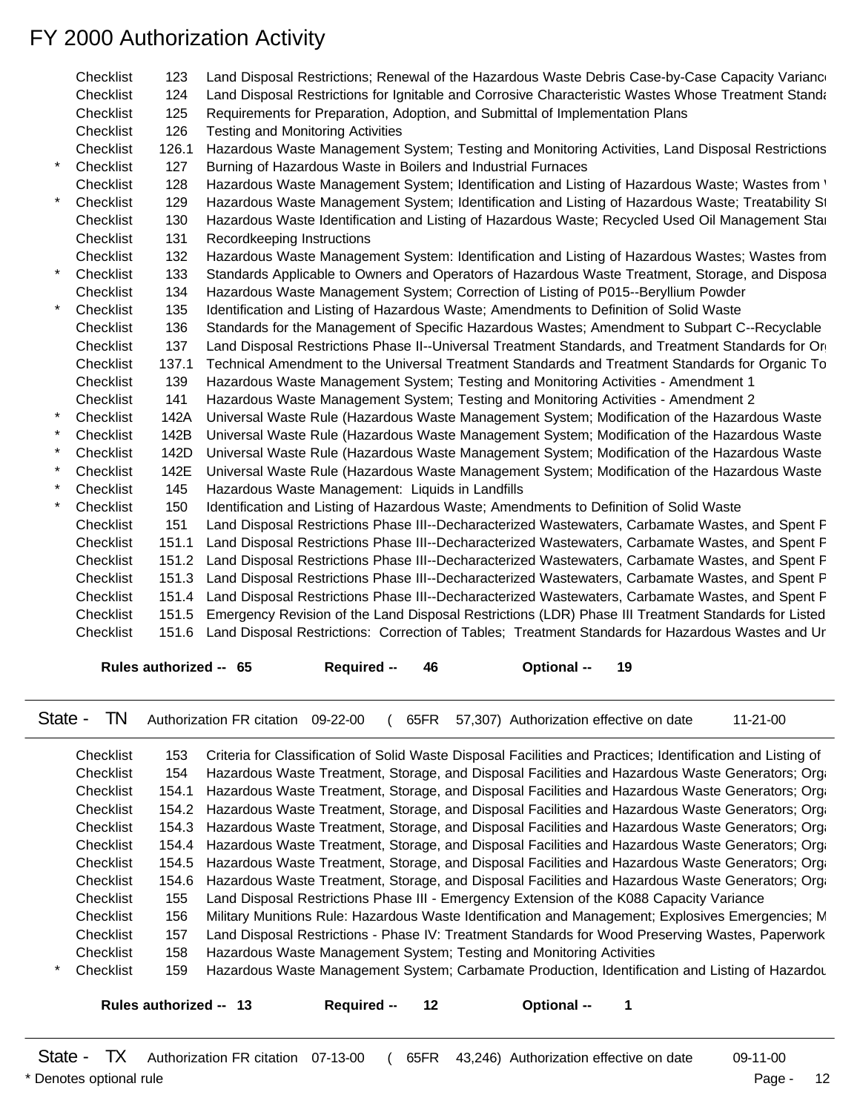| Checklist | 123   | Land Disposal Restrictions; Renewal of the Hazardous Waste Debris Case-by-Case Capacity Variance        |
|-----------|-------|---------------------------------------------------------------------------------------------------------|
| Checklist | 124   | Land Disposal Restrictions for Ignitable and Corrosive Characteristic Wastes Whose Treatment Standa     |
| Checklist | 125   | Requirements for Preparation, Adoption, and Submittal of Implementation Plans                           |
| Checklist | 126   | <b>Testing and Monitoring Activities</b>                                                                |
| Checklist | 126.1 | Hazardous Waste Management System; Testing and Monitoring Activities, Land Disposal Restrictions        |
| Checklist | 127   | Burning of Hazardous Waste in Boilers and Industrial Furnaces                                           |
| Checklist | 128   | Hazardous Waste Management System; Identification and Listing of Hazardous Waste; Wastes from '         |
| Checklist | 129   | Hazardous Waste Management System; Identification and Listing of Hazardous Waste; Treatability St       |
| Checklist | 130   | Hazardous Waste Identification and Listing of Hazardous Waste; Recycled Used Oil Management Star        |
| Checklist | 131   | Recordkeeping Instructions                                                                              |
| Checklist | 132   | Hazardous Waste Management System: Identification and Listing of Hazardous Wastes; Wastes from          |
| Checklist | 133   | Standards Applicable to Owners and Operators of Hazardous Waste Treatment, Storage, and Disposa         |
| Checklist | 134   | Hazardous Waste Management System; Correction of Listing of P015--Beryllium Powder                      |
| Checklist | 135   | Identification and Listing of Hazardous Waste; Amendments to Definition of Solid Waste                  |
| Checklist | 136   | Standards for the Management of Specific Hazardous Wastes; Amendment to Subpart C--Recyclable           |
| Checklist | 137   | Land Disposal Restrictions Phase II--Universal Treatment Standards, and Treatment Standards for Or      |
| Checklist | 137.1 | Technical Amendment to the Universal Treatment Standards and Treatment Standards for Organic To         |
| Checklist | 139   | Hazardous Waste Management System; Testing and Monitoring Activities - Amendment 1                      |
| Checklist | 141   | Hazardous Waste Management System; Testing and Monitoring Activities - Amendment 2                      |
| Checklist | 142A  | Universal Waste Rule (Hazardous Waste Management System; Modification of the Hazardous Waste            |
| Checklist | 142B  | Universal Waste Rule (Hazardous Waste Management System; Modification of the Hazardous Waste            |
| Checklist | 142D  | Universal Waste Rule (Hazardous Waste Management System; Modification of the Hazardous Waste            |
| Checklist | 142E  | Universal Waste Rule (Hazardous Waste Management System; Modification of the Hazardous Waste            |
| Checklist | 145   | Hazardous Waste Management: Liquids in Landfills                                                        |
| Checklist | 150   | Identification and Listing of Hazardous Waste; Amendments to Definition of Solid Waste                  |
| Checklist | 151   | Land Disposal Restrictions Phase III--Decharacterized Wastewaters, Carbamate Wastes, and Spent F        |
| Checklist | 151.1 | Land Disposal Restrictions Phase III--Decharacterized Wastewaters, Carbamate Wastes, and Spent F        |
| Checklist | 151.2 | Land Disposal Restrictions Phase III--Decharacterized Wastewaters, Carbamate Wastes, and Spent F        |
| Checklist | 151.3 | Land Disposal Restrictions Phase III--Decharacterized Wastewaters, Carbamate Wastes, and Spent P        |
| Checklist | 151.4 | Land Disposal Restrictions Phase III--Decharacterized Wastewaters, Carbamate Wastes, and Spent F        |
| Checklist | 151.5 | Emergency Revision of the Land Disposal Restrictions (LDR) Phase III Treatment Standards for Listed     |
| Checklist |       | 151.6 Land Disposal Restrictions: Correction of Tables; Treatment Standards for Hazardous Wastes and Ur |
|           |       |                                                                                                         |

**Rules authorized -- 65 Required -- 46 Optional -- 19**

State - TN Authorization FR citation 09-22-00 ( 65FR 57,307) Authorization effective on date 11-21-00

| Checklist | 153   | Criteria for Classification of Solid Waste Disposal Facilities and Practices; Identification and Listing of |
|-----------|-------|-------------------------------------------------------------------------------------------------------------|
| Checklist | 154.  | Hazardous Waste Treatment, Storage, and Disposal Facilities and Hazardous Waste Generators; Orga            |
| Checklist |       | 154.1 Hazardous Waste Treatment, Storage, and Disposal Facilities and Hazardous Waste Generators; Orga      |
| Checklist |       | 154.2 Hazardous Waste Treatment, Storage, and Disposal Facilities and Hazardous Waste Generators; Orga      |
| Checklist |       | 154.3 Hazardous Waste Treatment, Storage, and Disposal Facilities and Hazardous Waste Generators; Organ     |
| Checklist |       | 154.4 Hazardous Waste Treatment, Storage, and Disposal Facilities and Hazardous Waste Generators; Orga      |
| Checklist |       | 154.5 Hazardous Waste Treatment, Storage, and Disposal Facilities and Hazardous Waste Generators; Orga      |
| Checklist |       | 154.6 Hazardous Waste Treatment, Storage, and Disposal Facilities and Hazardous Waste Generators; Organ     |
| Checklist | 155   | Land Disposal Restrictions Phase III - Emergency Extension of the K088 Capacity Variance                    |
| Checklist | 156 - | Military Munitions Rule: Hazardous Waste Identification and Management; Explosives Emergencies; M           |
| Checklist | 157   | Land Disposal Restrictions - Phase IV: Treatment Standards for Wood Preserving Wastes, Paperwork            |
| Checklist | 158.  | Hazardous Waste Management System; Testing and Monitoring Activities                                        |
| Checklist | 159.  | Hazardous Waste Management System; Carbamate Production, Identification and Listing of Hazardou             |

**Rules authorized -- 13 Required -- 12 Optional -- 1**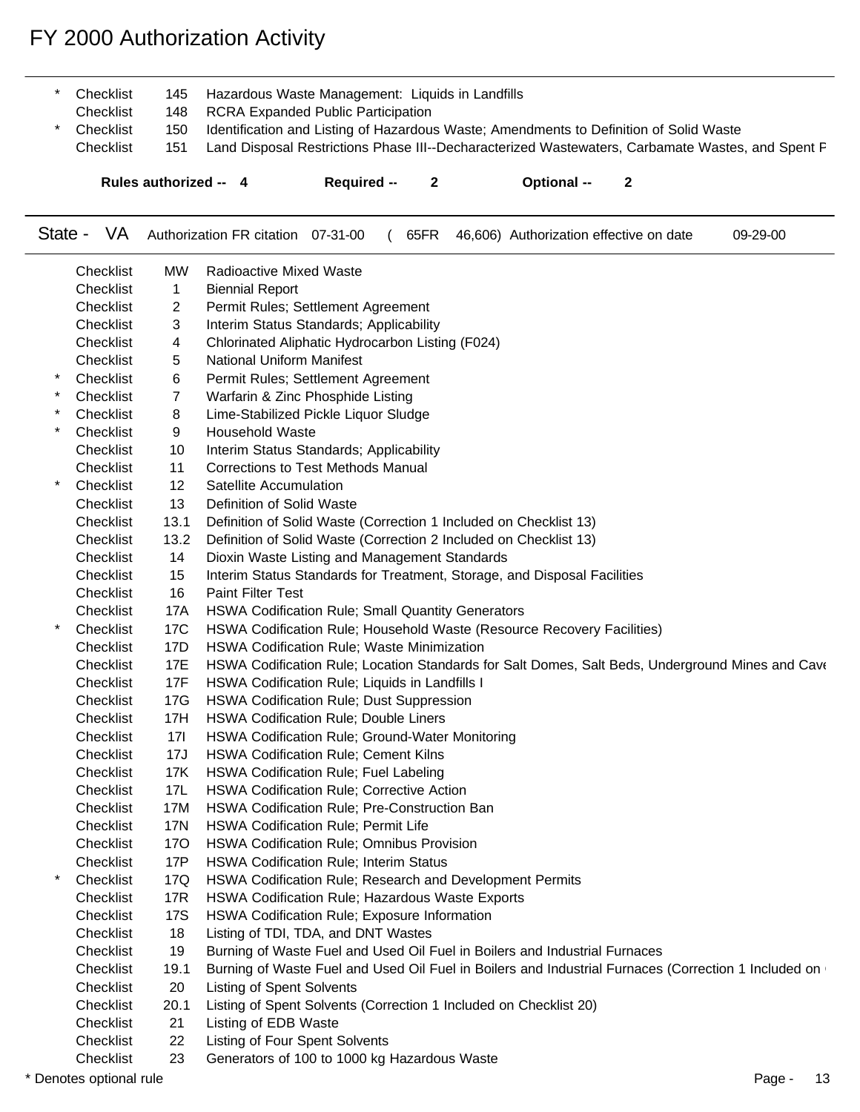| Rules authorized -- 4 |     | <b>Required --</b>                                   | $\overline{\mathbf{2}}$ | <b>Optional --</b>                                                                     |                                                                                                  |  |
|-----------------------|-----|------------------------------------------------------|-------------------------|----------------------------------------------------------------------------------------|--------------------------------------------------------------------------------------------------|--|
| Checklist             | 151 |                                                      |                         |                                                                                        | Land Disposal Restrictions Phase III--Decharacterized Wastewaters, Carbamate Wastes, and Spent F |  |
| * Checklist           | 150 |                                                      |                         | Identification and Listing of Hazardous Waste; Amendments to Definition of Solid Waste |                                                                                                  |  |
| Checklist             | 148 | RCRA Expanded Public Participation                   |                         |                                                                                        |                                                                                                  |  |
| * Checklist           |     | 145 Hazardous Waste Management: Liquids in Landfills |                         |                                                                                        |                                                                                                  |  |

State - VA Authorization FR citation 07-31-00 ( 65FR 46,606) Authorization effective on date 09-29-00

|        | Checklist | MW              | <b>Radioactive Mixed Waste</b>                                                                       |
|--------|-----------|-----------------|------------------------------------------------------------------------------------------------------|
|        | Checklist | 1               | <b>Biennial Report</b>                                                                               |
|        | Checklist | 2               | Permit Rules; Settlement Agreement                                                                   |
|        | Checklist | 3               | Interim Status Standards; Applicability                                                              |
|        | Checklist | 4               | Chlorinated Aliphatic Hydrocarbon Listing (F024)                                                     |
|        | Checklist | 5               | National Uniform Manifest                                                                            |
| $\ast$ | Checklist | 6               | Permit Rules; Settlement Agreement                                                                   |
| $\ast$ | Checklist | 7               | Warfarin & Zinc Phosphide Listing                                                                    |
|        | Checklist | 8               | Lime-Stabilized Pickle Liquor Sludge                                                                 |
| $\ast$ | Checklist | 9               | <b>Household Waste</b>                                                                               |
|        | Checklist | 10              | Interim Status Standards; Applicability                                                              |
|        | Checklist | 11              | Corrections to Test Methods Manual                                                                   |
|        | Checklist | 12              | Satellite Accumulation                                                                               |
|        | Checklist | 13              | Definition of Solid Waste                                                                            |
|        | Checklist | 13.1            | Definition of Solid Waste (Correction 1 Included on Checklist 13)                                    |
|        | Checklist | 13.2            | Definition of Solid Waste (Correction 2 Included on Checklist 13)                                    |
|        | Checklist | 14              | Dioxin Waste Listing and Management Standards                                                        |
|        | Checklist | 15              | Interim Status Standards for Treatment, Storage, and Disposal Facilities                             |
|        | Checklist | 16              | <b>Paint Filter Test</b>                                                                             |
|        | Checklist | 17A             | HSWA Codification Rule; Small Quantity Generators                                                    |
|        | Checklist | 17 <sub>C</sub> | HSWA Codification Rule; Household Waste (Resource Recovery Facilities)                               |
|        | Checklist | 17D             | HSWA Codification Rule; Waste Minimization                                                           |
|        | Checklist | 17E             | HSWA Codification Rule; Location Standards for Salt Domes, Salt Beds, Underground Mines and Cave     |
|        | Checklist | 17F             | HSWA Codification Rule; Liquids in Landfills I                                                       |
|        | Checklist | 17G             | HSWA Codification Rule; Dust Suppression                                                             |
|        | Checklist | 17H             | <b>HSWA Codification Rule; Double Liners</b>                                                         |
|        | Checklist | 17 <sup>1</sup> | HSWA Codification Rule; Ground-Water Monitoring                                                      |
|        | Checklist | 17J             | HSWA Codification Rule; Cement Kilns                                                                 |
|        | Checklist | 17K             | HSWA Codification Rule; Fuel Labeling                                                                |
|        | Checklist | 17L             | HSWA Codification Rule; Corrective Action                                                            |
|        | Checklist | 17M             | HSWA Codification Rule; Pre-Construction Ban                                                         |
|        | Checklist | <b>17N</b>      | HSWA Codification Rule; Permit Life                                                                  |
|        | Checklist | 17O             | HSWA Codification Rule; Omnibus Provision                                                            |
|        | Checklist | 17P             | <b>HSWA Codification Rule; Interim Status</b>                                                        |
|        | Checklist | 17Q             | HSWA Codification Rule; Research and Development Permits                                             |
|        | Checklist | 17R             | HSWA Codification Rule; Hazardous Waste Exports                                                      |
|        | Checklist | 17S             | HSWA Codification Rule; Exposure Information                                                         |
|        | Checklist | 18              | Listing of TDI, TDA, and DNT Wastes                                                                  |
|        | Checklist | 19              | Burning of Waste Fuel and Used Oil Fuel in Boilers and Industrial Furnaces                           |
|        | Checklist | 19.1            | Burning of Waste Fuel and Used Oil Fuel in Boilers and Industrial Furnaces (Correction 1 Included on |
|        | Checklist | 20              | <b>Listing of Spent Solvents</b>                                                                     |
|        | Checklist | 20.1            | Listing of Spent Solvents (Correction 1 Included on Checklist 20)                                    |
|        | Checklist | 21              | Listing of EDB Waste                                                                                 |
|        | Checklist | 22              | Listing of Four Spent Solvents                                                                       |
|        | Checklist | 23              | Generators of 100 to 1000 kg Hazardous Waste                                                         |
|        |           |                 |                                                                                                      |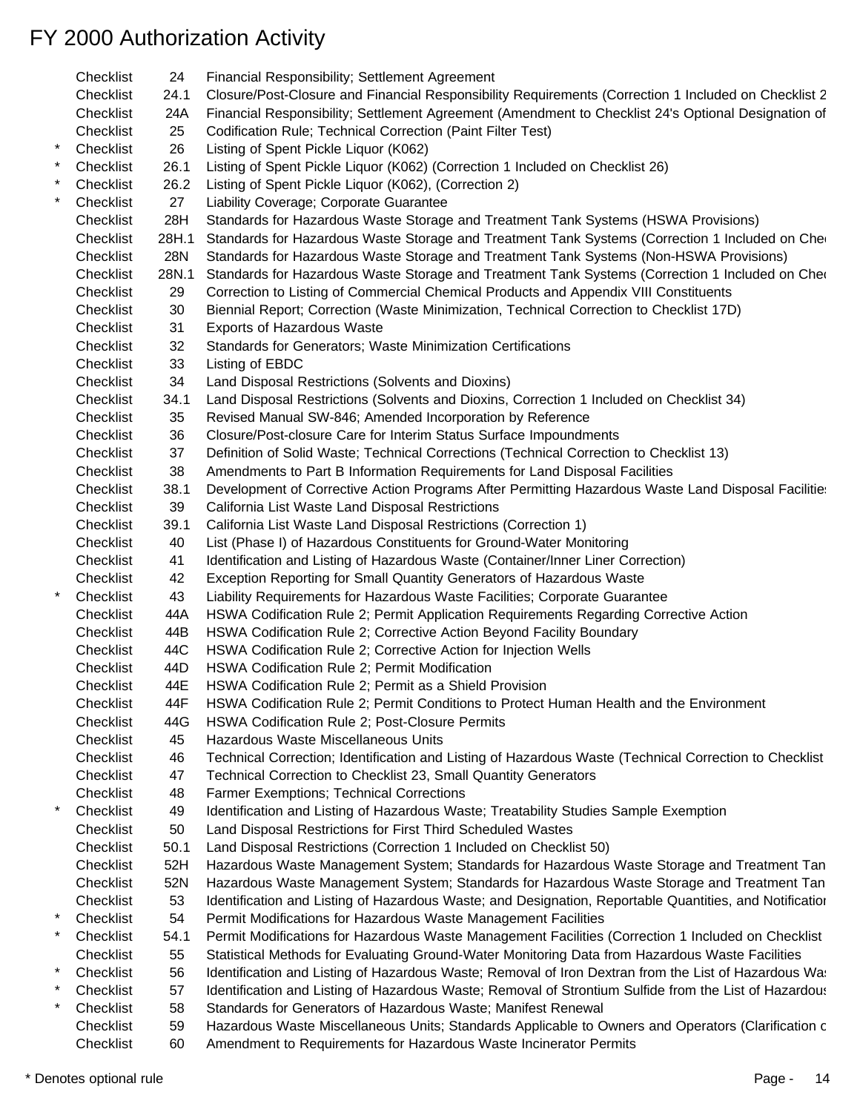|            | Checklist | 24    | Financial Responsibility; Settlement Agreement                                                          |
|------------|-----------|-------|---------------------------------------------------------------------------------------------------------|
|            | Checklist | 24.1  | Closure/Post-Closure and Financial Responsibility Requirements (Correction 1 Included on Checklist 2    |
|            | Checklist | 24A   | Financial Responsibility; Settlement Agreement (Amendment to Checklist 24's Optional Designation of     |
|            | Checklist | 25    | Codification Rule; Technical Correction (Paint Filter Test)                                             |
| $^{\star}$ | Checklist | 26    | Listing of Spent Pickle Liquor (K062)                                                                   |
|            | Checklist | 26.1  | Listing of Spent Pickle Liquor (K062) (Correction 1 Included on Checklist 26)                           |
|            | Checklist | 26.2  | Listing of Spent Pickle Liquor (K062), (Correction 2)                                                   |
|            | Checklist | 27    | Liability Coverage; Corporate Guarantee                                                                 |
|            | Checklist | 28H   | Standards for Hazardous Waste Storage and Treatment Tank Systems (HSWA Provisions)                      |
|            | Checklist | 28H.1 | Standards for Hazardous Waste Storage and Treatment Tank Systems (Correction 1 Included on Che          |
|            | Checklist | 28N   | Standards for Hazardous Waste Storage and Treatment Tank Systems (Non-HSWA Provisions)                  |
|            | Checklist | 28N.1 | Standards for Hazardous Waste Storage and Treatment Tank Systems (Correction 1 Included on Cher         |
|            | Checklist | 29    | Correction to Listing of Commercial Chemical Products and Appendix VIII Constituents                    |
|            | Checklist | 30    | Biennial Report; Correction (Waste Minimization, Technical Correction to Checklist 17D)                 |
|            | Checklist | 31    | Exports of Hazardous Waste                                                                              |
|            | Checklist | 32    | Standards for Generators; Waste Minimization Certifications                                             |
|            | Checklist | 33    | Listing of EBDC                                                                                         |
|            | Checklist | 34    | Land Disposal Restrictions (Solvents and Dioxins)                                                       |
|            | Checklist | 34.1  | Land Disposal Restrictions (Solvents and Dioxins, Correction 1 Included on Checklist 34)                |
|            | Checklist |       |                                                                                                         |
|            |           | 35    | Revised Manual SW-846; Amended Incorporation by Reference                                               |
|            | Checklist | 36    | Closure/Post-closure Care for Interim Status Surface Impoundments                                       |
|            | Checklist | 37    | Definition of Solid Waste; Technical Corrections (Technical Correction to Checklist 13)                 |
|            | Checklist | 38    | Amendments to Part B Information Requirements for Land Disposal Facilities                              |
|            | Checklist | 38.1  | Development of Corrective Action Programs After Permitting Hazardous Waste Land Disposal Facilitie:     |
|            | Checklist | 39    | California List Waste Land Disposal Restrictions                                                        |
|            | Checklist | 39.1  | California List Waste Land Disposal Restrictions (Correction 1)                                         |
|            | Checklist | 40    | List (Phase I) of Hazardous Constituents for Ground-Water Monitoring                                    |
|            | Checklist | 41    | Identification and Listing of Hazardous Waste (Container/Inner Liner Correction)                        |
|            | Checklist | 42    | Exception Reporting for Small Quantity Generators of Hazardous Waste                                    |
|            | Checklist | 43    | Liability Requirements for Hazardous Waste Facilities; Corporate Guarantee                              |
|            | Checklist | 44A   | HSWA Codification Rule 2; Permit Application Requirements Regarding Corrective Action                   |
|            | Checklist | 44B   | HSWA Codification Rule 2; Corrective Action Beyond Facility Boundary                                    |
|            | Checklist | 44C   | HSWA Codification Rule 2; Corrective Action for Injection Wells                                         |
|            | Checklist | 44D   | HSWA Codification Rule 2; Permit Modification                                                           |
|            | Checklist | 44E   | HSWA Codification Rule 2; Permit as a Shield Provision                                                  |
|            | Checklist | 44F   | HSWA Codification Rule 2; Permit Conditions to Protect Human Health and the Environment                 |
|            | Checklist | 44G   | HSWA Codification Rule 2; Post-Closure Permits                                                          |
|            | Checklist | 45    | Hazardous Waste Miscellaneous Units                                                                     |
|            | Checklist | 46    | Technical Correction; Identification and Listing of Hazardous Waste (Technical Correction to Checklist  |
|            | Checklist | 47    | Technical Correction to Checklist 23, Small Quantity Generators                                         |
|            | Checklist | 48    | Farmer Exemptions; Technical Corrections                                                                |
|            | Checklist | 49    | Identification and Listing of Hazardous Waste; Treatability Studies Sample Exemption                    |
|            | Checklist | 50    | Land Disposal Restrictions for First Third Scheduled Wastes                                             |
|            | Checklist | 50.1  | Land Disposal Restrictions (Correction 1 Included on Checklist 50)                                      |
|            | Checklist | 52H   | Hazardous Waste Management System; Standards for Hazardous Waste Storage and Treatment Tan              |
|            | Checklist | 52N   | Hazardous Waste Management System; Standards for Hazardous Waste Storage and Treatment Tan              |
|            | Checklist | 53    | Identification and Listing of Hazardous Waste; and Designation, Reportable Quantities, and Notification |
|            |           |       |                                                                                                         |
|            | Checklist | 54    | Permit Modifications for Hazardous Waste Management Facilities                                          |
|            | Checklist | 54.1  | Permit Modifications for Hazardous Waste Management Facilities (Correction 1 Included on Checklist      |
|            | Checklist | 55    | Statistical Methods for Evaluating Ground-Water Monitoring Data from Hazardous Waste Facilities         |
| *          | Checklist | 56    | Identification and Listing of Hazardous Waste; Removal of Iron Dextran from the List of Hazardous Was   |
|            | Checklist | 57    | Identification and Listing of Hazardous Waste; Removal of Strontium Sulfide from the List of Hazardous  |
|            | Checklist | 58    | Standards for Generators of Hazardous Waste; Manifest Renewal                                           |
|            | Checklist | 59    | Hazardous Waste Miscellaneous Units; Standards Applicable to Owners and Operators (Clarification c      |
|            | Checklist | 60    | Amendment to Requirements for Hazardous Waste Incinerator Permits                                       |

\* Denotes optional rule Page - 14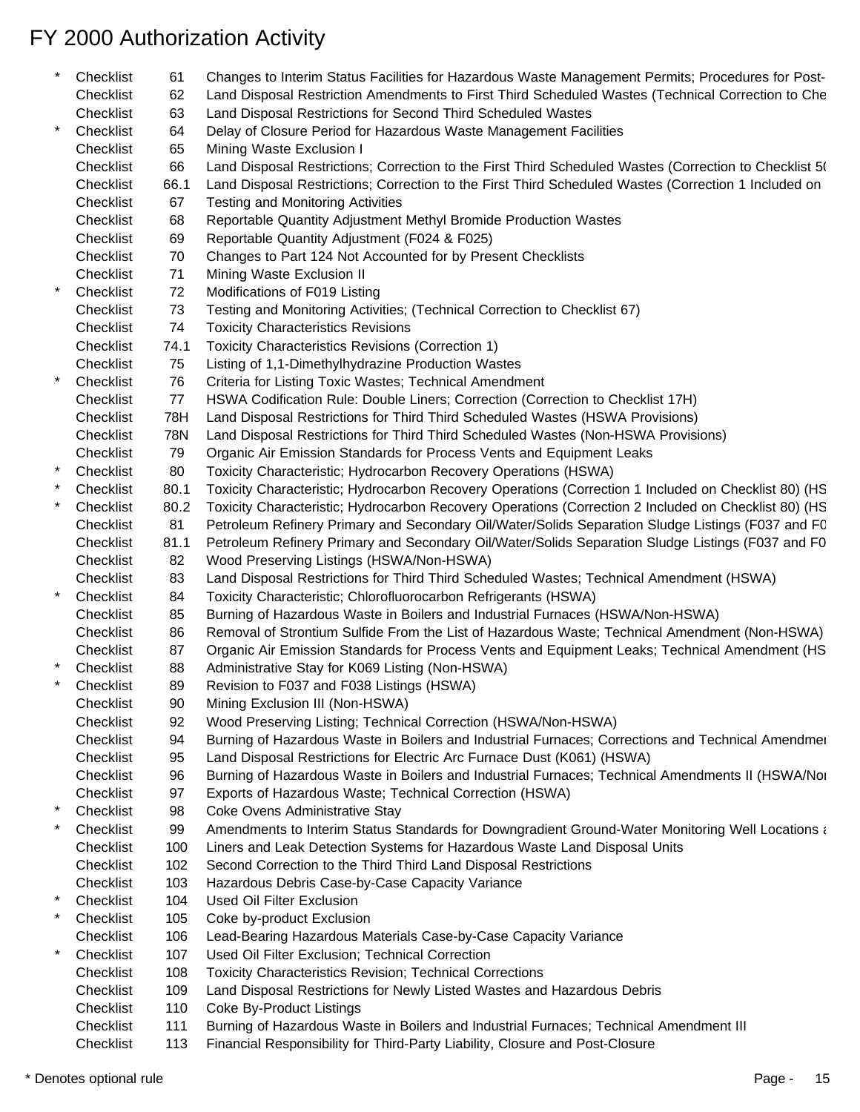|            | Checklist | 61   | Changes to Interim Status Facilities for Hazardous Waste Management Permits; Procedures for Post-      |
|------------|-----------|------|--------------------------------------------------------------------------------------------------------|
|            | Checklist | 62   | Land Disposal Restriction Amendments to First Third Scheduled Wastes (Technical Correction to Che      |
|            | Checklist | 63   | Land Disposal Restrictions for Second Third Scheduled Wastes                                           |
| $\star$    | Checklist | 64   | Delay of Closure Period for Hazardous Waste Management Facilities                                      |
|            | Checklist | 65   | Mining Waste Exclusion I                                                                               |
|            | Checklist | 66   | Land Disposal Restrictions; Correction to the First Third Scheduled Wastes (Correction to Checklist 5( |
|            | Checklist | 66.1 | Land Disposal Restrictions; Correction to the First Third Scheduled Wastes (Correction 1 Included on   |
|            | Checklist | 67   | Testing and Monitoring Activities                                                                      |
|            | Checklist | 68   | Reportable Quantity Adjustment Methyl Bromide Production Wastes                                        |
|            | Checklist | 69   | Reportable Quantity Adjustment (F024 & F025)                                                           |
|            | Checklist | 70   | Changes to Part 124 Not Accounted for by Present Checklists                                            |
|            | Checklist | 71   | Mining Waste Exclusion II                                                                              |
| $^{\star}$ | Checklist | 72   | Modifications of F019 Listing                                                                          |
|            | Checklist | 73   | Testing and Monitoring Activities; (Technical Correction to Checklist 67)                              |
|            | Checklist | 74   | <b>Toxicity Characteristics Revisions</b>                                                              |
|            | Checklist | 74.1 | Toxicity Characteristics Revisions (Correction 1)                                                      |
|            | Checklist | 75   | Listing of 1,1-Dimethylhydrazine Production Wastes                                                     |
| $\star$    | Checklist | 76   | Criteria for Listing Toxic Wastes; Technical Amendment                                                 |
|            | Checklist | 77   | HSWA Codification Rule: Double Liners; Correction (Correction to Checklist 17H)                        |
|            | Checklist | 78H  | Land Disposal Restrictions for Third Third Scheduled Wastes (HSWA Provisions)                          |
|            | Checklist | 78N  | Land Disposal Restrictions for Third Third Scheduled Wastes (Non-HSWA Provisions)                      |
|            | Checklist | 79   | Organic Air Emission Standards for Process Vents and Equipment Leaks                                   |
|            | Checklist | 80   | Toxicity Characteristic; Hydrocarbon Recovery Operations (HSWA)                                        |
|            | Checklist | 80.1 | Toxicity Characteristic; Hydrocarbon Recovery Operations (Correction 1 Included on Checklist 80) (HS   |
|            | Checklist | 80.2 | Toxicity Characteristic; Hydrocarbon Recovery Operations (Correction 2 Included on Checklist 80) (HS   |
|            | Checklist | 81   | Petroleum Refinery Primary and Secondary Oil/Water/Solids Separation Sludge Listings (F037 and FC      |
|            | Checklist | 81.1 | Petroleum Refinery Primary and Secondary Oil/Water/Solids Separation Sludge Listings (F037 and F0      |
|            | Checklist | 82   | Wood Preserving Listings (HSWA/Non-HSWA)                                                               |
|            | Checklist | 83   | Land Disposal Restrictions for Third Third Scheduled Wastes; Technical Amendment (HSWA)                |
| $\star$    | Checklist | 84   | Toxicity Characteristic; Chlorofluorocarbon Refrigerants (HSWA)                                        |
|            | Checklist | 85   | Burning of Hazardous Waste in Boilers and Industrial Furnaces (HSWA/Non-HSWA)                          |
|            | Checklist | 86   | Removal of Strontium Sulfide From the List of Hazardous Waste; Technical Amendment (Non-HSWA)          |
|            | Checklist | 87   | Organic Air Emission Standards for Process Vents and Equipment Leaks; Technical Amendment (HS          |
| *          | Checklist | 88   | Administrative Stay for K069 Listing (Non-HSWA)                                                        |
|            | Checklist | 89   | Revision to F037 and F038 Listings (HSWA)                                                              |
|            | Checklist |      | Mining Exclusion III (Non-HSWA)                                                                        |
|            | Checklist | 90   | Wood Preserving Listing; Technical Correction (HSWA/Non-HSWA)                                          |
|            | Checklist | 92   |                                                                                                        |
|            | Checklist | 94   | Burning of Hazardous Waste in Boilers and Industrial Furnaces; Corrections and Technical Amendmer      |
|            |           | 95   | Land Disposal Restrictions for Electric Arc Furnace Dust (K061) (HSWA)                                 |
|            | Checklist | 96   | Burning of Hazardous Waste in Boilers and Industrial Furnaces; Technical Amendments II (HSWA/Nor       |
| *          | Checklist | 97   | Exports of Hazardous Waste; Technical Correction (HSWA)                                                |
|            | Checklist | 98   | Coke Ovens Administrative Stay                                                                         |
|            | Checklist | 99   | Amendments to Interim Status Standards for Downgradient Ground-Water Monitoring Well Locations and     |
|            | Checklist | 100  | Liners and Leak Detection Systems for Hazardous Waste Land Disposal Units                              |
|            | Checklist | 102  | Second Correction to the Third Third Land Disposal Restrictions                                        |
|            | Checklist | 103  | Hazardous Debris Case-by-Case Capacity Variance                                                        |
| *          | Checklist | 104  | <b>Used Oil Filter Exclusion</b>                                                                       |
| *          | Checklist | 105  | Coke by-product Exclusion                                                                              |
|            | Checklist | 106  | Lead-Bearing Hazardous Materials Case-by-Case Capacity Variance                                        |
| *          | Checklist | 107  | Used Oil Filter Exclusion; Technical Correction                                                        |
|            | Checklist | 108  | Toxicity Characteristics Revision; Technical Corrections                                               |
|            | Checklist | 109  | Land Disposal Restrictions for Newly Listed Wastes and Hazardous Debris                                |
|            | Checklist | 110  | <b>Coke By-Product Listings</b>                                                                        |
|            | Checklist | 111  | Burning of Hazardous Waste in Boilers and Industrial Furnaces; Technical Amendment III                 |
|            |           |      |                                                                                                        |

Checklist 113 Financial Responsibility for Third-Party Liability, Closure and Post-Closure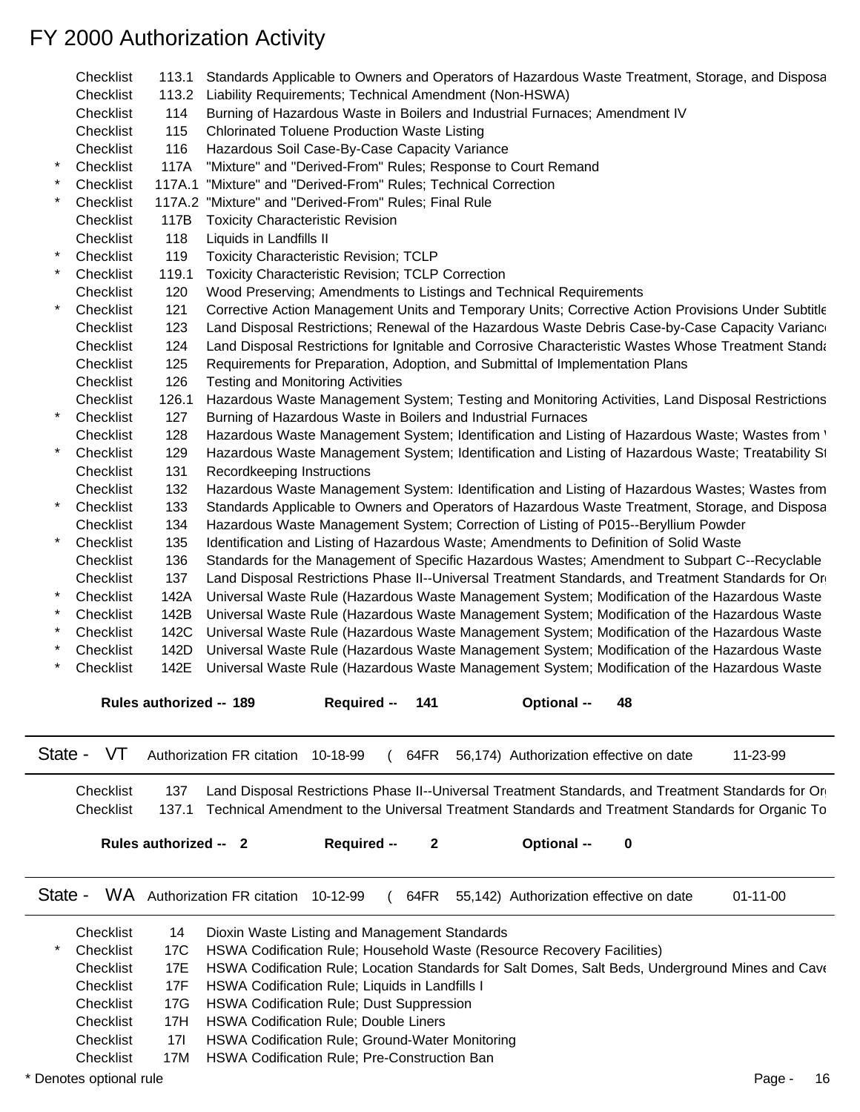|         | Checklist | 113.1                   | Standards Applicable to Owners and Operators of Hazardous Waste Treatment, Storage, and Disposa         |
|---------|-----------|-------------------------|---------------------------------------------------------------------------------------------------------|
|         | Checklist |                         | 113.2 Liability Requirements; Technical Amendment (Non-HSWA)                                            |
|         | Checklist | 114                     | Burning of Hazardous Waste in Boilers and Industrial Furnaces; Amendment IV                             |
|         | Checklist | 115                     | <b>Chlorinated Toluene Production Waste Listing</b>                                                     |
|         | Checklist | 116                     | Hazardous Soil Case-By-Case Capacity Variance                                                           |
|         | Checklist | 117A                    | "Mixture" and "Derived-From" Rules; Response to Court Remand                                            |
|         | Checklist | 117A.1                  | "Mixture" and "Derived-From" Rules; Technical Correction                                                |
|         | Checklist |                         | 117A.2 "Mixture" and "Derived-From" Rules; Final Rule                                                   |
|         | Checklist | 117B                    | <b>Toxicity Characteristic Revision</b>                                                                 |
|         | Checklist | 118                     | Liquids in Landfills II                                                                                 |
|         | Checklist | 119                     | <b>Toxicity Characteristic Revision; TCLP</b>                                                           |
|         | Checklist | 119.1                   | <b>Toxicity Characteristic Revision; TCLP Correction</b>                                                |
|         | Checklist | 120                     | Wood Preserving; Amendments to Listings and Technical Requirements                                      |
|         | Checklist | 121                     | Corrective Action Management Units and Temporary Units; Corrective Action Provisions Under Subtitle     |
|         | Checklist | 123                     | Land Disposal Restrictions; Renewal of the Hazardous Waste Debris Case-by-Case Capacity Variance        |
|         | Checklist | 124                     | Land Disposal Restrictions for Ignitable and Corrosive Characteristic Wastes Whose Treatment Standa     |
|         | Checklist | 125                     | Requirements for Preparation, Adoption, and Submittal of Implementation Plans                           |
|         | Checklist | 126                     | <b>Testing and Monitoring Activities</b>                                                                |
|         | Checklist | 126.1                   | Hazardous Waste Management System; Testing and Monitoring Activities, Land Disposal Restrictions        |
|         | Checklist | 127                     | Burning of Hazardous Waste in Boilers and Industrial Furnaces                                           |
|         | Checklist | 128                     | Hazardous Waste Management System; Identification and Listing of Hazardous Waste; Wastes from '         |
|         | Checklist | 129                     | Hazardous Waste Management System; Identification and Listing of Hazardous Waste; Treatability St       |
|         | Checklist | 131                     | Recordkeeping Instructions                                                                              |
|         | Checklist | 132                     | Hazardous Waste Management System: Identification and Listing of Hazardous Wastes; Wastes from          |
|         | Checklist | 133                     | Standards Applicable to Owners and Operators of Hazardous Waste Treatment, Storage, and Disposa         |
|         | Checklist | 134                     | Hazardous Waste Management System; Correction of Listing of P015--Beryllium Powder                      |
|         | Checklist | 135                     | Identification and Listing of Hazardous Waste; Amendments to Definition of Solid Waste                  |
|         | Checklist | 136                     | Standards for the Management of Specific Hazardous Wastes; Amendment to Subpart C--Recyclable           |
|         | Checklist | 137                     | Land Disposal Restrictions Phase II--Universal Treatment Standards, and Treatment Standards for Or      |
|         | Checklist | 142A                    | Universal Waste Rule (Hazardous Waste Management System; Modification of the Hazardous Waste            |
|         | Checklist | 142B                    | Universal Waste Rule (Hazardous Waste Management System; Modification of the Hazardous Waste            |
|         | Checklist | 142C                    | Universal Waste Rule (Hazardous Waste Management System; Modification of the Hazardous Waste            |
|         | Checklist | 142D                    | Universal Waste Rule (Hazardous Waste Management System; Modification of the Hazardous Waste            |
|         | Checklist | 142E                    | Universal Waste Rule (Hazardous Waste Management System; Modification of the Hazardous Waste            |
|         |           | Rules authorized -- 189 | Required - 141<br>Optional -- 48                                                                        |
|         |           |                         |                                                                                                         |
| State - | VT        |                         | Authorization FR citation 10-18-99<br>11-23-99<br>64FR<br>56,174) Authorization effective on date       |
|         |           |                         |                                                                                                         |
|         | Checklist | 137                     | Land Disposal Restrictions Phase II--Universal Treatment Standards, and Treatment Standards for Or      |
|         | Checklist |                         | 137.1 Technical Amendment to the Universal Treatment Standards and Treatment Standards for Organic To   |
|         |           |                         |                                                                                                         |
|         |           | Rules authorized -- 2   | Required --<br>2<br><b>Optional --</b><br>0                                                             |
|         |           |                         |                                                                                                         |
|         |           |                         |                                                                                                         |
| State - |           |                         | WA Authorization FR citation 10-12-99<br>$01 - 11 - 00$<br>64FR 55,142) Authorization effective on date |
|         | Checklist | 14                      | Dioxin Waste Listing and Management Standards                                                           |
|         | Checklist | 17C                     | HSWA Codification Rule; Household Waste (Resource Recovery Facilities)                                  |
|         | Checklist | 17E                     | HSWA Codification Rule; Location Standards for Salt Domes, Salt Beds, Underground Mines and Cave        |
|         | Checklist | 17F                     | HSWA Codification Rule; Liquids in Landfills I                                                          |
|         |           | 17G                     |                                                                                                         |
|         | Checklist |                         | <b>HSWA Codification Rule; Dust Suppression</b>                                                         |
|         | Checklist | 17H                     | <b>HSWA Codification Rule; Double Liners</b>                                                            |
|         | Checklist | 17I                     | HSWA Codification Rule; Ground-Water Monitoring                                                         |

Checklist 17M HSWA Codification Rule; Pre-Construction Ban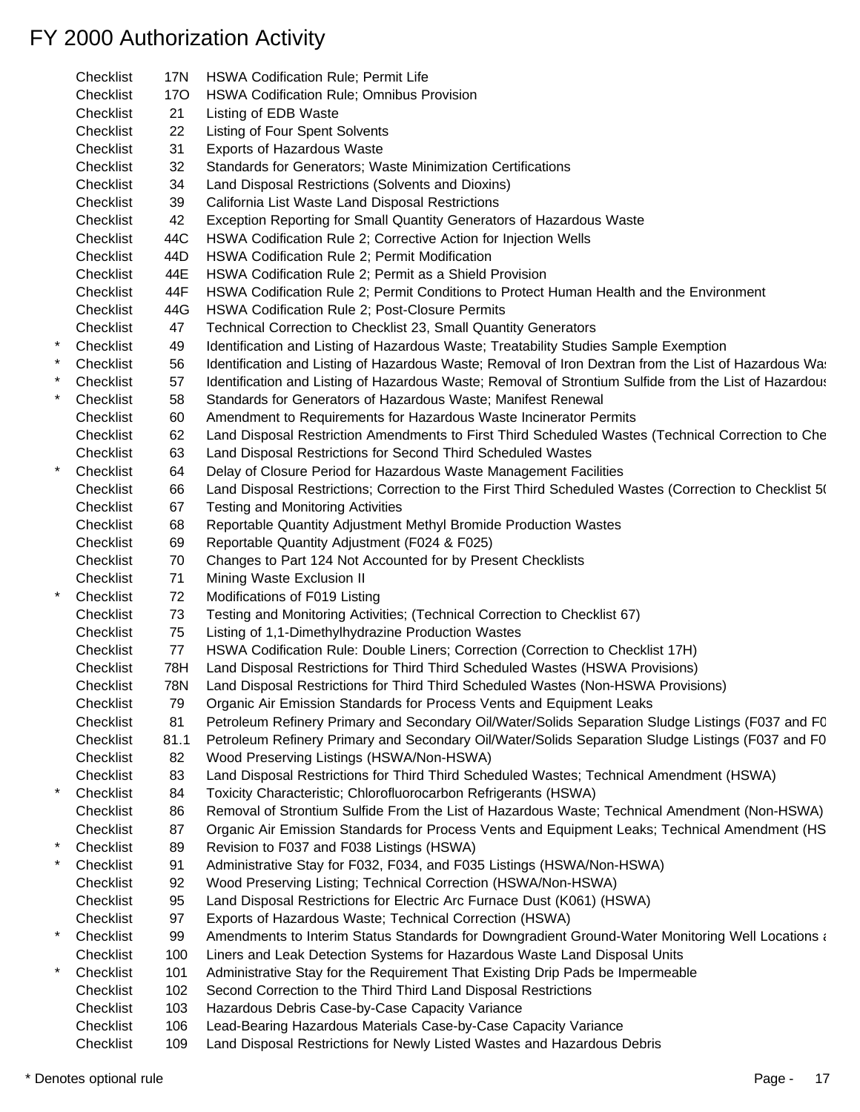|         | Checklist | 17N        | <b>HSWA Codification Rule; Permit Life</b>                                                             |
|---------|-----------|------------|--------------------------------------------------------------------------------------------------------|
|         | Checklist | <b>170</b> | HSWA Codification Rule; Omnibus Provision                                                              |
|         | Checklist | 21         | Listing of EDB Waste                                                                                   |
|         | Checklist | 22         | Listing of Four Spent Solvents                                                                         |
|         | Checklist | 31         | <b>Exports of Hazardous Waste</b>                                                                      |
|         | Checklist | 32         | Standards for Generators; Waste Minimization Certifications                                            |
|         | Checklist | 34         | Land Disposal Restrictions (Solvents and Dioxins)                                                      |
|         | Checklist | 39         | California List Waste Land Disposal Restrictions                                                       |
|         | Checklist | 42         | Exception Reporting for Small Quantity Generators of Hazardous Waste                                   |
|         | Checklist | 44C        | HSWA Codification Rule 2; Corrective Action for Injection Wells                                        |
|         | Checklist | 44D        | HSWA Codification Rule 2; Permit Modification                                                          |
|         | Checklist | 44E        | HSWA Codification Rule 2; Permit as a Shield Provision                                                 |
|         | Checklist | 44F        | HSWA Codification Rule 2; Permit Conditions to Protect Human Health and the Environment                |
|         | Checklist | 44G        |                                                                                                        |
|         |           |            | HSWA Codification Rule 2; Post-Closure Permits                                                         |
| $^\ast$ | Checklist | 47         | Technical Correction to Checklist 23, Small Quantity Generators                                        |
|         | Checklist | 49         | Identification and Listing of Hazardous Waste; Treatability Studies Sample Exemption                   |
|         | Checklist | 56         | Identification and Listing of Hazardous Waste; Removal of Iron Dextran from the List of Hazardous Was  |
|         | Checklist | 57         | Identification and Listing of Hazardous Waste; Removal of Strontium Sulfide from the List of Hazardous |
|         | Checklist | 58         | Standards for Generators of Hazardous Waste; Manifest Renewal                                          |
|         | Checklist | 60         | Amendment to Requirements for Hazardous Waste Incinerator Permits                                      |
|         | Checklist | 62         | Land Disposal Restriction Amendments to First Third Scheduled Wastes (Technical Correction to Che      |
|         | Checklist | 63         | Land Disposal Restrictions for Second Third Scheduled Wastes                                           |
|         | Checklist | 64         | Delay of Closure Period for Hazardous Waste Management Facilities                                      |
|         | Checklist | 66         | Land Disposal Restrictions; Correction to the First Third Scheduled Wastes (Correction to Checklist 5( |
|         | Checklist | 67         | <b>Testing and Monitoring Activities</b>                                                               |
|         | Checklist | 68         | Reportable Quantity Adjustment Methyl Bromide Production Wastes                                        |
|         | Checklist | 69         | Reportable Quantity Adjustment (F024 & F025)                                                           |
|         | Checklist | 70         | Changes to Part 124 Not Accounted for by Present Checklists                                            |
|         | Checklist | 71         | Mining Waste Exclusion II                                                                              |
|         | Checklist | 72         | Modifications of F019 Listing                                                                          |
|         | Checklist | 73         | Testing and Monitoring Activities; (Technical Correction to Checklist 67)                              |
|         | Checklist | 75         | Listing of 1,1-Dimethylhydrazine Production Wastes                                                     |
|         | Checklist | 77         | HSWA Codification Rule: Double Liners; Correction (Correction to Checklist 17H)                        |
|         | Checklist | 78H        | Land Disposal Restrictions for Third Third Scheduled Wastes (HSWA Provisions)                          |
|         | Checklist | 78N        | Land Disposal Restrictions for Third Third Scheduled Wastes (Non-HSWA Provisions)                      |
|         | Checklist | 79         | Organic Air Emission Standards for Process Vents and Equipment Leaks                                   |
|         | Checklist | 81         | Petroleum Refinery Primary and Secondary Oil/Water/Solids Separation Sludge Listings (F037 and FC      |
|         | Checklist | 81.1       | Petroleum Refinery Primary and Secondary Oil/Water/Solids Separation Sludge Listings (F037 and F0      |
|         | Checklist | 82         | Wood Preserving Listings (HSWA/Non-HSWA)                                                               |
|         | Checklist | 83         | Land Disposal Restrictions for Third Third Scheduled Wastes; Technical Amendment (HSWA)                |
| *       | Checklist | 84         | Toxicity Characteristic; Chlorofluorocarbon Refrigerants (HSWA)                                        |
|         | Checklist | 86         | Removal of Strontium Sulfide From the List of Hazardous Waste; Technical Amendment (Non-HSWA)          |
|         | Checklist | 87         | Organic Air Emission Standards for Process Vents and Equipment Leaks; Technical Amendment (HS          |
|         | Checklist | 89         | Revision to F037 and F038 Listings (HSWA)                                                              |
|         | Checklist | 91         | Administrative Stay for F032, F034, and F035 Listings (HSWA/Non-HSWA)                                  |
|         | Checklist | 92         | Wood Preserving Listing; Technical Correction (HSWA/Non-HSWA)                                          |
|         | Checklist | 95         | Land Disposal Restrictions for Electric Arc Furnace Dust (K061) (HSWA)                                 |
|         | Checklist | 97         | Exports of Hazardous Waste; Technical Correction (HSWA)                                                |
| *       | Checklist | 99         | Amendments to Interim Status Standards for Downgradient Ground-Water Monitoring Well Locations and     |
|         | Checklist | 100        | Liners and Leak Detection Systems for Hazardous Waste Land Disposal Units                              |
| *       | Checklist | 101        | Administrative Stay for the Requirement That Existing Drip Pads be Impermeable                         |
|         | Checklist | 102        | Second Correction to the Third Third Land Disposal Restrictions                                        |
|         | Checklist | 103        | Hazardous Debris Case-by-Case Capacity Variance                                                        |
|         | Checklist | 106        | Lead-Bearing Hazardous Materials Case-by-Case Capacity Variance                                        |
|         | Checklist | 109        | Land Disposal Restrictions for Newly Listed Wastes and Hazardous Debris                                |
|         |           |            |                                                                                                        |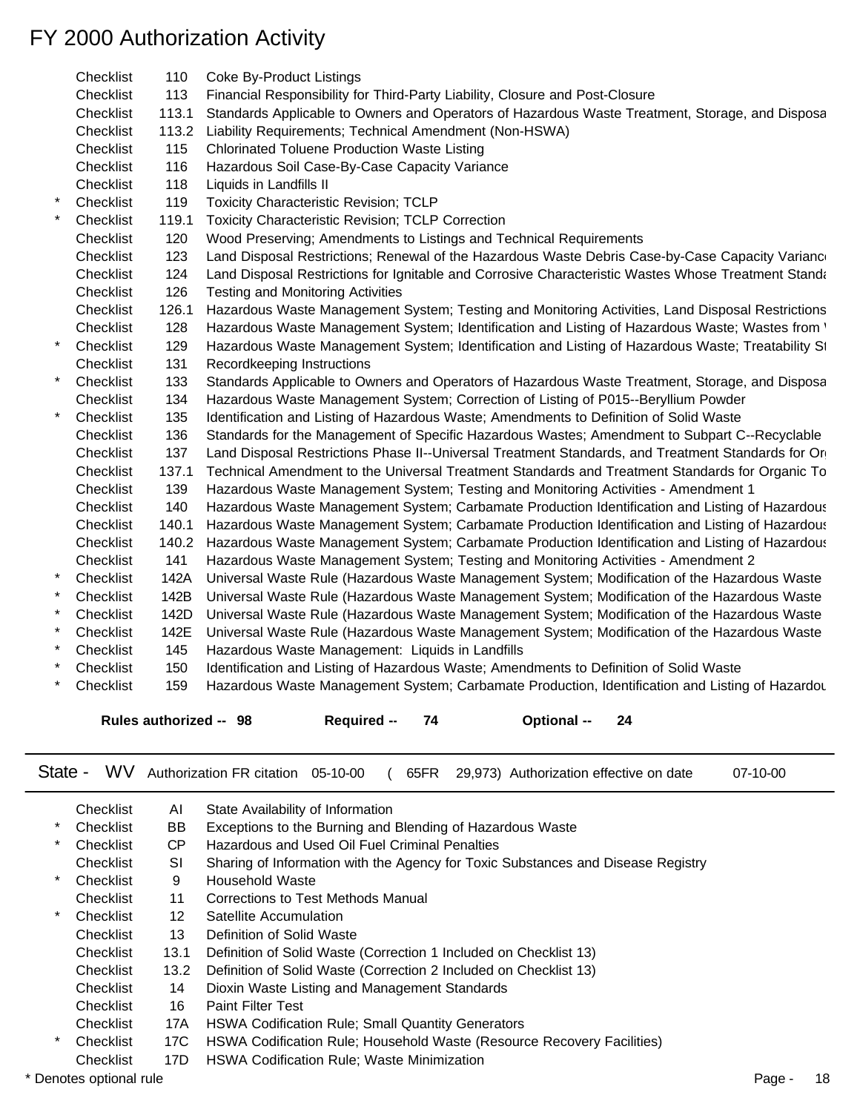| Checklist | 110                    | <b>Coke By-Product Listings</b>                                                                       |
|-----------|------------------------|-------------------------------------------------------------------------------------------------------|
| Checklist | 113                    | Financial Responsibility for Third-Party Liability, Closure and Post-Closure                          |
| Checklist | 113.1                  | Standards Applicable to Owners and Operators of Hazardous Waste Treatment, Storage, and Disposa       |
| Checklist | 113.2                  | Liability Requirements; Technical Amendment (Non-HSWA)                                                |
| Checklist | 115                    | <b>Chlorinated Toluene Production Waste Listing</b>                                                   |
| Checklist | 116                    | Hazardous Soil Case-By-Case Capacity Variance                                                         |
| Checklist | 118                    | Liquids in Landfills II                                                                               |
| Checklist | 119                    | Toxicity Characteristic Revision; TCLP                                                                |
| Checklist | 119.1                  | <b>Toxicity Characteristic Revision; TCLP Correction</b>                                              |
| Checklist | 120                    | Wood Preserving; Amendments to Listings and Technical Requirements                                    |
| Checklist | 123                    | Land Disposal Restrictions; Renewal of the Hazardous Waste Debris Case-by-Case Capacity Variance      |
| Checklist | 124                    | Land Disposal Restrictions for Ignitable and Corrosive Characteristic Wastes Whose Treatment Standa   |
| Checklist | 126                    | Testing and Monitoring Activities                                                                     |
| Checklist | 126.1                  | Hazardous Waste Management System; Testing and Monitoring Activities, Land Disposal Restrictions      |
| Checklist | 128                    | Hazardous Waste Management System; Identification and Listing of Hazardous Waste; Wastes from '       |
| Checklist | 129                    | Hazardous Waste Management System; Identification and Listing of Hazardous Waste; Treatability St     |
| Checklist | 131                    | Recordkeeping Instructions                                                                            |
| Checklist | 133                    | Standards Applicable to Owners and Operators of Hazardous Waste Treatment, Storage, and Disposa       |
| Checklist | 134                    | Hazardous Waste Management System; Correction of Listing of P015--Beryllium Powder                    |
| Checklist | 135                    | Identification and Listing of Hazardous Waste; Amendments to Definition of Solid Waste                |
| Checklist | 136                    | Standards for the Management of Specific Hazardous Wastes; Amendment to Subpart C--Recyclable         |
| Checklist | 137                    | Land Disposal Restrictions Phase II--Universal Treatment Standards, and Treatment Standards for Or    |
| Checklist | 137.1                  | Technical Amendment to the Universal Treatment Standards and Treatment Standards for Organic To       |
| Checklist | 139                    | Hazardous Waste Management System; Testing and Monitoring Activities - Amendment 1                    |
| Checklist | 140                    | Hazardous Waste Management System; Carbamate Production Identification and Listing of Hazardous       |
| Checklist | 140.1                  | Hazardous Waste Management System; Carbamate Production Identification and Listing of Hazardous       |
| Checklist |                        | 140.2 Hazardous Waste Management System; Carbamate Production Identification and Listing of Hazardous |
| Checklist | 141                    | Hazardous Waste Management System; Testing and Monitoring Activities - Amendment 2                    |
| Checklist | 142A                   | Universal Waste Rule (Hazardous Waste Management System; Modification of the Hazardous Waste          |
| Checklist | 142B                   | Universal Waste Rule (Hazardous Waste Management System; Modification of the Hazardous Waste          |
| Checklist | 142D                   | Universal Waste Rule (Hazardous Waste Management System; Modification of the Hazardous Waste          |
| Checklist | 142E                   | Universal Waste Rule (Hazardous Waste Management System; Modification of the Hazardous Waste          |
| Checklist | 145                    | Hazardous Waste Management: Liquids in Landfills                                                      |
| Checklist | 150                    | Identification and Listing of Hazardous Waste; Amendments to Definition of Solid Waste                |
| Checklist | 159                    | Hazardous Waste Management System; Carbamate Production, Identification and Listing of Hazardou       |
|           |                        |                                                                                                       |
|           | Rules authorized -- 98 | Required - 74<br>Optional -- 24                                                                       |
|           |                        |                                                                                                       |
| State -   |                        | WV Authorization FR citation 05-10-00<br>65FR 29,973) Authorization effective on date<br>07-10-00     |
| Checklist | AL                     | State Availability of Information                                                                     |

|                         | ∪neckiist | AL   | State Availability of Information                                                |  |    |
|-------------------------|-----------|------|----------------------------------------------------------------------------------|--|----|
| *                       | Checklist | BB   | Exceptions to the Burning and Blending of Hazardous Waste                        |  |    |
| $\ast$                  | Checklist | CP.  | Hazardous and Used Oil Fuel Criminal Penalties                                   |  |    |
|                         | Checklist | SI   | Sharing of Information with the Agency for Toxic Substances and Disease Registry |  |    |
| *                       | Checklist | 9    | Household Waste                                                                  |  |    |
|                         | Checklist | 11   | Corrections to Test Methods Manual                                               |  |    |
| *                       | Checklist | 12   | Satellite Accumulation                                                           |  |    |
|                         | Checklist | 13   | Definition of Solid Waste                                                        |  |    |
|                         | Checklist | 13.1 | Definition of Solid Waste (Correction 1 Included on Checklist 13)                |  |    |
|                         | Checklist | 13.2 | Definition of Solid Waste (Correction 2 Included on Checklist 13)                |  |    |
|                         | Checklist | 14   | Dioxin Waste Listing and Management Standards                                    |  |    |
|                         | Checklist | 16   | <b>Paint Filter Test</b>                                                         |  |    |
|                         | Checklist | 17A  | <b>HSWA Codification Rule; Small Quantity Generators</b>                         |  |    |
| *                       | Checklist | 17C  | HSWA Codification Rule; Household Waste (Resource Recovery Facilities)           |  |    |
|                         | Checklist | 17D  | <b>HSWA Codification Rule; Waste Minimization</b>                                |  |    |
| * Denotes optional rule |           |      |                                                                                  |  | 18 |
|                         |           |      |                                                                                  |  |    |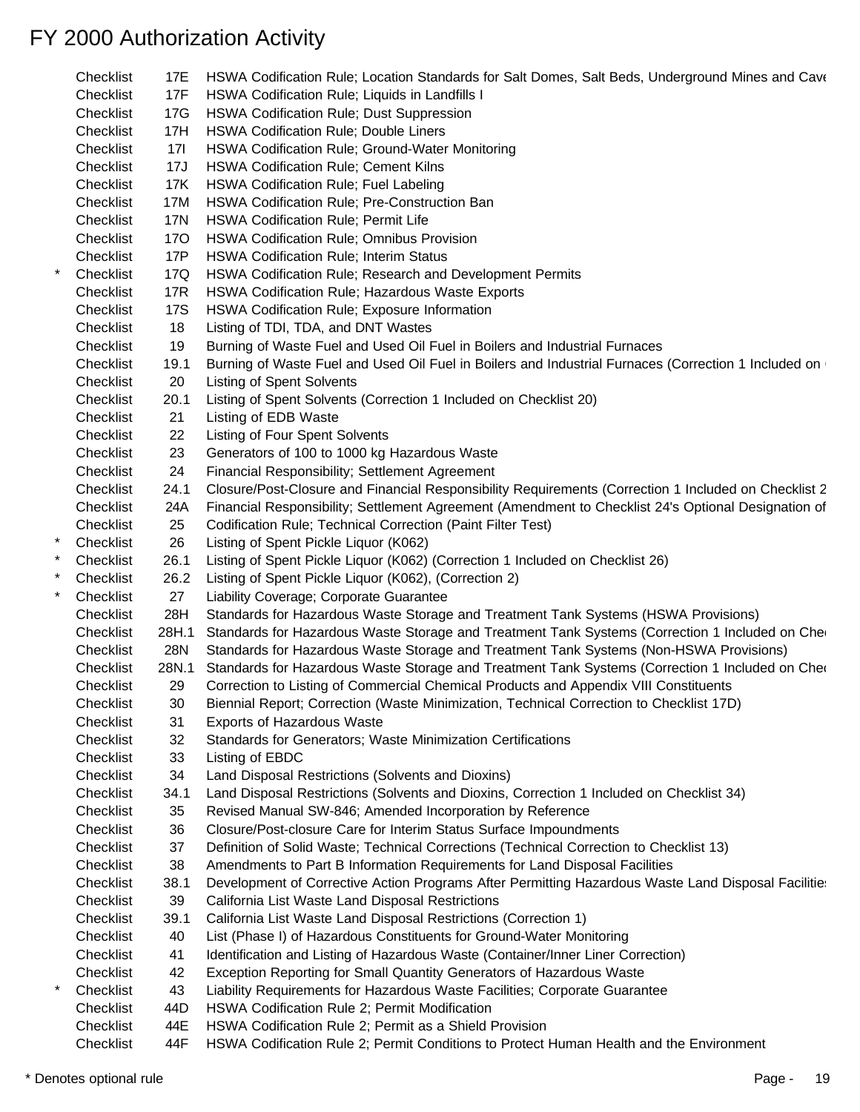|          | Checklist | 17E        | HSWA Codification Rule; Location Standards for Salt Domes, Salt Beds, Underground Mines and Cave     |
|----------|-----------|------------|------------------------------------------------------------------------------------------------------|
|          | Checklist | 17F        | HSWA Codification Rule; Liquids in Landfills I                                                       |
|          | Checklist | 17G        | HSWA Codification Rule; Dust Suppression                                                             |
|          | Checklist | 17H        | HSWA Codification Rule; Double Liners                                                                |
|          | Checklist | 171        | HSWA Codification Rule; Ground-Water Monitoring                                                      |
|          | Checklist | 17J        | <b>HSWA Codification Rule; Cement Kilns</b>                                                          |
|          | Checklist | 17K        | HSWA Codification Rule; Fuel Labeling                                                                |
|          | Checklist | 17M        | HSWA Codification Rule; Pre-Construction Ban                                                         |
|          | Checklist | 17N        | HSWA Codification Rule; Permit Life                                                                  |
|          | Checklist | <b>170</b> | HSWA Codification Rule; Omnibus Provision                                                            |
|          | Checklist | 17P        | <b>HSWA Codification Rule; Interim Status</b>                                                        |
| $\star$  | Checklist | 17Q        | HSWA Codification Rule; Research and Development Permits                                             |
|          | Checklist | <b>17R</b> | HSWA Codification Rule; Hazardous Waste Exports                                                      |
|          | Checklist | <b>17S</b> | HSWA Codification Rule; Exposure Information                                                         |
|          | Checklist | 18         | Listing of TDI, TDA, and DNT Wastes                                                                  |
|          | Checklist | 19         | Burning of Waste Fuel and Used Oil Fuel in Boilers and Industrial Furnaces                           |
|          | Checklist | 19.1       | Burning of Waste Fuel and Used Oil Fuel in Boilers and Industrial Furnaces (Correction 1 Included on |
|          | Checklist | 20         | <b>Listing of Spent Solvents</b>                                                                     |
|          | Checklist | 20.1       | Listing of Spent Solvents (Correction 1 Included on Checklist 20)                                    |
|          | Checklist | 21         | Listing of EDB Waste                                                                                 |
|          | Checklist | 22         | Listing of Four Spent Solvents                                                                       |
|          | Checklist | 23         | Generators of 100 to 1000 kg Hazardous Waste                                                         |
|          |           |            |                                                                                                      |
|          | Checklist | 24         | Financial Responsibility; Settlement Agreement                                                       |
|          | Checklist | 24.1       | Closure/Post-Closure and Financial Responsibility Requirements (Correction 1 Included on Checklist 2 |
|          | Checklist | 24A        | Financial Responsibility; Settlement Agreement (Amendment to Checklist 24's Optional Designation of  |
|          | Checklist | 25         | Codification Rule; Technical Correction (Paint Filter Test)                                          |
| $\star$  | Checklist | 26         | Listing of Spent Pickle Liquor (K062)                                                                |
|          | Checklist | 26.1       | Listing of Spent Pickle Liquor (K062) (Correction 1 Included on Checklist 26)                        |
|          | Checklist | 26.2       | Listing of Spent Pickle Liquor (K062), (Correction 2)                                                |
|          | Checklist | 27         | Liability Coverage; Corporate Guarantee                                                              |
|          | Checklist | 28H        | Standards for Hazardous Waste Storage and Treatment Tank Systems (HSWA Provisions)                   |
|          | Checklist | 28H.1      | Standards for Hazardous Waste Storage and Treatment Tank Systems (Correction 1 Included on Che       |
|          | Checklist | 28N        | Standards for Hazardous Waste Storage and Treatment Tank Systems (Non-HSWA Provisions)               |
|          | Checklist | 28N.1      | Standards for Hazardous Waste Storage and Treatment Tank Systems (Correction 1 Included on Cher      |
|          | Checklist | 29         | Correction to Listing of Commercial Chemical Products and Appendix VIII Constituents                 |
|          | Checklist | 30         | Biennial Report; Correction (Waste Minimization, Technical Correction to Checklist 17D)              |
|          | Checklist | 31         | <b>Exports of Hazardous Waste</b>                                                                    |
|          | Checklist | 32         | Standards for Generators; Waste Minimization Certifications                                          |
|          | Checklist | 33         | Listing of EBDC                                                                                      |
|          | Checklist | 34         | Land Disposal Restrictions (Solvents and Dioxins)                                                    |
|          | Checklist | 34.1       | Land Disposal Restrictions (Solvents and Dioxins, Correction 1 Included on Checklist 34)             |
|          | Checklist | 35         | Revised Manual SW-846; Amended Incorporation by Reference                                            |
|          | Checklist | 36         | Closure/Post-closure Care for Interim Status Surface Impoundments                                    |
|          | Checklist | 37         | Definition of Solid Waste; Technical Corrections (Technical Correction to Checklist 13)              |
|          | Checklist | 38         | Amendments to Part B Information Requirements for Land Disposal Facilities                           |
|          | Checklist | 38.1       | Development of Corrective Action Programs After Permitting Hazardous Waste Land Disposal Facilitie:  |
|          | Checklist | 39         | California List Waste Land Disposal Restrictions                                                     |
|          | Checklist | 39.1       | California List Waste Land Disposal Restrictions (Correction 1)                                      |
|          | Checklist | 40         | List (Phase I) of Hazardous Constituents for Ground-Water Monitoring                                 |
|          | Checklist | 41         | Identification and Listing of Hazardous Waste (Container/Inner Liner Correction)                     |
|          | Checklist | 42         | Exception Reporting for Small Quantity Generators of Hazardous Waste                                 |
| $^\star$ | Checklist | 43         | Liability Requirements for Hazardous Waste Facilities; Corporate Guarantee                           |
|          | Checklist | 44D        | HSWA Codification Rule 2; Permit Modification                                                        |
|          | Checklist | 44E        | HSWA Codification Rule 2; Permit as a Shield Provision                                               |
|          | Checklist | 44F        | HSWA Codification Rule 2; Permit Conditions to Protect Human Health and the Environment              |
|          |           |            |                                                                                                      |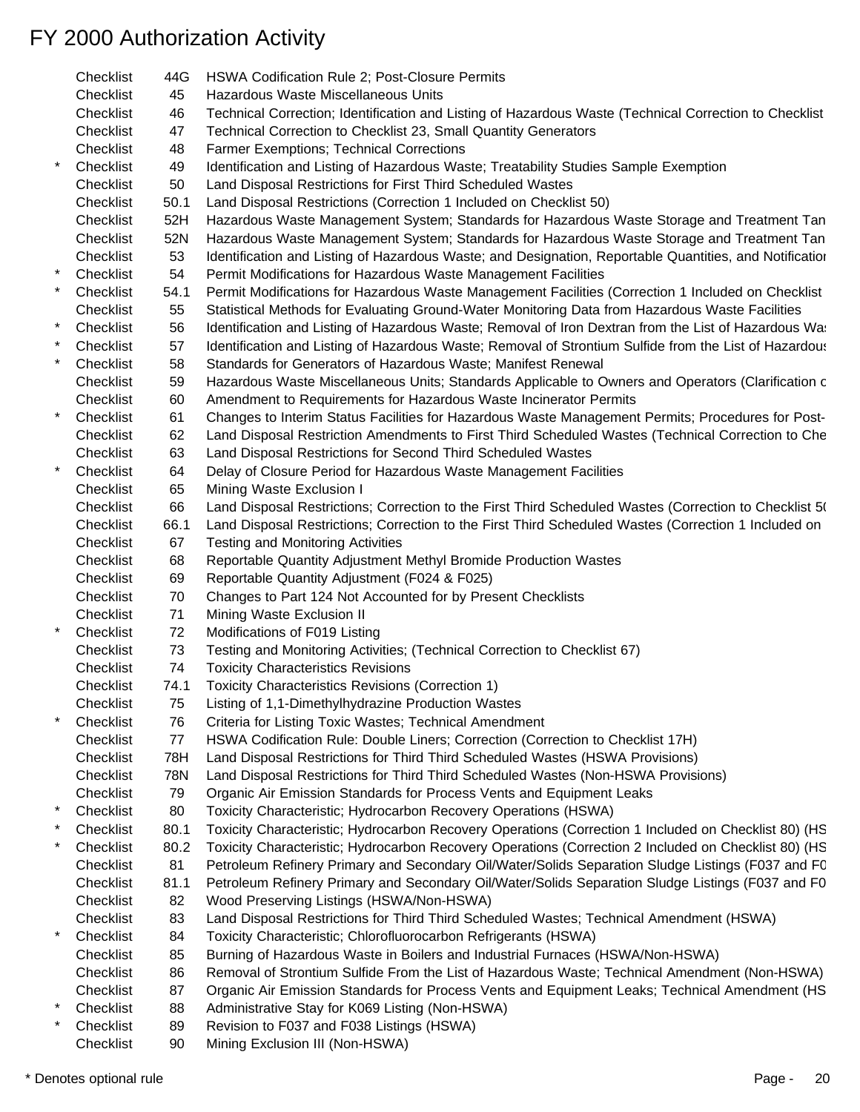- Checklist 44G HSWA Codification Rule 2; Post-Closure Permits Checklist 45 Hazardous Waste Miscellaneous Units Checklist 46 Technical Correction; Identification and Listing of Hazardous Waste (Technical Correction to Checklist Checklist 47 Technical Correction to Checklist 23, Small Quantity Generators Checklist 48 Farmer Exemptions; Technical Corrections \* Checklist 49 Identification and Listing of Hazardous Waste; Treatability Studies Sample Exemption Checklist 50 Land Disposal Restrictions for First Third Scheduled Wastes Checklist 50.1 Land Disposal Restrictions (Correction 1 Included on Checklist 50) Checklist 52H Hazardous Waste Management System; Standards for Hazardous Waste Storage and Treatment Tan Checklist 52N Hazardous Waste Management System; Standards for Hazardous Waste Storage and Treatment Tan Checklist 53 Identification and Listing of Hazardous Waste; and Designation, Reportable Quantities, and Notification \* Checklist 54 Permit Modifications for Hazardous Waste Management Facilities Checklist 54.1 Permit Modifications for Hazardous Waste Management Facilities (Correction 1 Included on Checklist Checklist 55 Statistical Methods for Evaluating Ground-Water Monitoring Data from Hazardous Waste Facilities Checklist 56 Identification and Listing of Hazardous Waste; Removal of Iron Dextran from the List of Hazardous Wastes Checklist 57 Identification and Listing of Hazardous Waste; Removal of Strontium Sulfide from the List of Hazardous \* Checklist 58 Standards for Generators of Hazardous Waste; Manifest Renewal Checklist 59 Hazardous Waste Miscellaneous Units; Standards Applicable to Owners and Operators (Clarification c Checklist 60 Amendment to Requirements for Hazardous Waste Incinerator Permits Checklist 61 Changes to Interim Status Facilities for Hazardous Waste Management Permits; Procedures for Post-Checklist 62 Land Disposal Restriction Amendments to First Third Scheduled Wastes (Technical Correction to Che Checklist 63 Land Disposal Restrictions for Second Third Scheduled Wastes Checklist 64 Delay of Closure Period for Hazardous Waste Management Facilities Checklist 65 Mining Waste Exclusion I Checklist 66 Land Disposal Restrictions; Correction to the First Third Scheduled Wastes (Correction to Checklist 50) Checklist 66.1 Land Disposal Restrictions; Correction to the First Third Scheduled Wastes (Correction 1 Included on Checklist 67 Testing and Monitoring Activities Checklist 68 Reportable Quantity Adjustment Methyl Bromide Production Wastes Checklist 69 Reportable Quantity Adjustment (F024 & F025) Checklist 70 Changes to Part 124 Not Accounted for by Present Checklists Checklist 71 Mining Waste Exclusion II Checklist 72 Modifications of F019 Listing Checklist 73 Testing and Monitoring Activities; (Technical Correction to Checklist 67) Checklist 74 Toxicity Characteristics Revisions Checklist 74.1 Toxicity Characteristics Revisions (Correction 1) Checklist 75 Listing of 1,1-Dimethylhydrazine Production Wastes Checklist 76 Criteria for Listing Toxic Wastes; Technical Amendment Checklist 77 HSWA Codification Rule: Double Liners; Correction (Correction to Checklist 17H) Checklist 78H Land Disposal Restrictions for Third Third Scheduled Wastes (HSWA Provisions) Checklist 78N Land Disposal Restrictions for Third Third Scheduled Wastes (Non-HSWA Provisions) Checklist 79 Organic Air Emission Standards for Process Vents and Equipment Leaks Checklist 80 Toxicity Characteristic; Hydrocarbon Recovery Operations (HSWA) Checklist 80.1 Toxicity Characteristic; Hydrocarbon Recovery Operations (Correction 1 Included on Checklist 80) (HS Checklist 80.2 Toxicity Characteristic; Hydrocarbon Recovery Operations (Correction 2 Included on Checklist 80) (HS Checklist 81 Petroleum Refinery Primary and Secondary Oil/Water/Solids Separation Sludge Listings (F037 and FC Checklist 81.1 Petroleum Refinery Primary and Secondary Oil/Water/Solids Separation Sludge Listings (F037 and F0 Checklist 82 Wood Preserving Listings (HSWA/Non-HSWA) Checklist 83 Land Disposal Restrictions for Third Third Scheduled Wastes; Technical Amendment (HSWA) \* Checklist 84 Toxicity Characteristic; Chlorofluorocarbon Refrigerants (HSWA) Checklist 85 Burning of Hazardous Waste in Boilers and Industrial Furnaces (HSWA/Non-HSWA) Checklist 86 Removal of Strontium Sulfide From the List of Hazardous Waste; Technical Amendment (Non-HSWA) Checklist 87 Organic Air Emission Standards for Process Vents and Equipment Leaks; Technical Amendment (HS Checklist 88 Administrative Stay for K069 Listing (Non-HSWA) Checklist 89 Revision to F037 and F038 Listings (HSWA)
	- Checklist 90 Mining Exclusion III (Non-HSWA)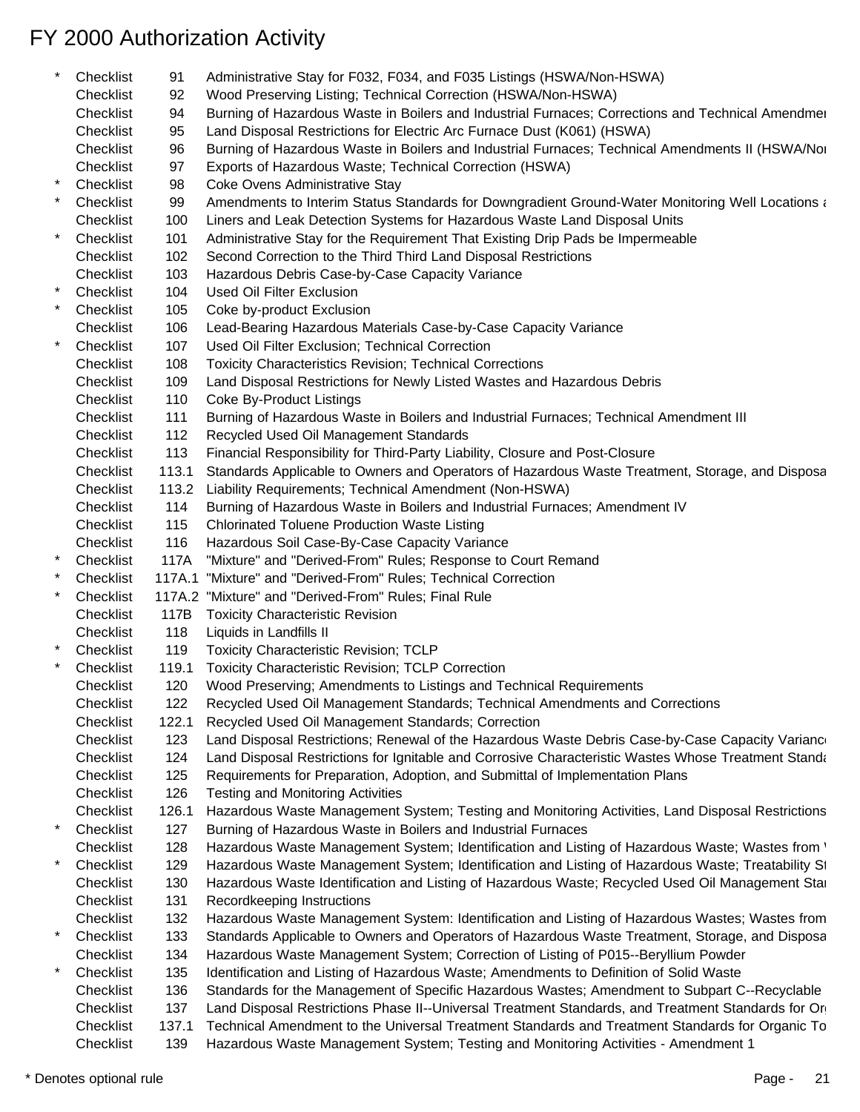\* Checklist 91 Administrative Stay for F032, F034, and F035 Listings (HSWA/Non-HSWA) Checklist 92 Wood Preserving Listing; Technical Correction (HSWA/Non-HSWA) Checklist 94 Burning of Hazardous Waste in Boilers and Industrial Furnaces; Corrections and Technical Amendmen Checklist 95 Land Disposal Restrictions for Electric Arc Furnace Dust (K061) (HSWA) Checklist 96 Burning of Hazardous Waste in Boilers and Industrial Furnaces; Technical Amendments II (HSWA/Non-Checklist 97 Exports of Hazardous Waste; Technical Correction (HSWA) Checklist 98 Coke Ovens Administrative Stay kthecklist 99 Amendments to Interim Status Standards for Downgradient Ground-Water Monitoring Well Locations at Analyzies Characters (Non-Hazardous Hazardous Hazardous Hazardous 1999) Checklist 100 Liners and Leak Detection Systems for Hazardous Waste Land Disposal Units \* Checklist 101 Administrative Stay for the Requirement That Existing Drip Pads be Impermeable Checklist 102 Second Correction to the Third Third Land Disposal Restrictions Checklist 103 Hazardous Debris Case-by-Case Capacity Variance Checklist 104 Used Oil Filter Exclusion Checklist 105 Coke by-product Exclusion Checklist 106 Lead-Bearing Hazardous Materials Case-by-Case Capacity Variance Checklist 107 Used Oil Filter Exclusion; Technical Correction Checklist 108 Toxicity Characteristics Revision; Technical Corrections Checklist 109 Land Disposal Restrictions for Newly Listed Wastes and Hazardous Debris Checklist 110 Coke By-Product Listings Checklist 111 Burning of Hazardous Waste in Boilers and Industrial Furnaces; Technical Amendment III Checklist 112 Recycled Used Oil Management Standards Checklist 113 Financial Responsibility for Third-Party Liability, Closure and Post-Closure Checklist 113.1 Standards Applicable to Owners and Operators of Hazardous Waste Treatment, Storage, and Disposa Checklist 113.2 Liability Requirements; Technical Amendment (Non-HSWA) Checklist 114 Burning of Hazardous Waste in Boilers and Industrial Furnaces; Amendment IV Checklist 115 Chlorinated Toluene Production Waste Listing Checklist 116 Hazardous Soil Case-By-Case Capacity Variance Checklist 117A "Mixture" and "Derived-From" Rules; Response to Court Remand Checklist 117A.1 "Mixture" and "Derived-From" Rules; Technical Correction Checklist 117A.2 "Mixture" and "Derived-From" Rules; Final Rule Checklist 117B Toxicity Characteristic Revision Checklist 118 Liquids in Landfills II Checklist 119 Toxicity Characteristic Revision; TCLP Checklist 119.1 Toxicity Characteristic Revision; TCLP Correction Checklist 120 Wood Preserving; Amendments to Listings and Technical Requirements Checklist 122 Recycled Used Oil Management Standards; Technical Amendments and Corrections Checklist 122.1 Recycled Used Oil Management Standards; Correction Checklist 123 Land Disposal Restrictions; Renewal of the Hazardous Waste Debris Case-by-Case Capacity Variance Checklist 124 Land Disposal Restrictions for Ignitable and Corrosive Characteristic Wastes Whose Treatment Standards Checklist 125 Requirements for Preparation, Adoption, and Submittal of Implementation Plans Checklist 126 Testing and Monitoring Activities Checklist 126.1 Hazardous Waste Management System; Testing and Monitoring Activities, Land Disposal Restrictions \* Checklist 127 Burning of Hazardous Waste in Boilers and Industrial Furnaces Checklist 128 Hazardous Waste Management System; Identification and Listing of Hazardous Waste; Wastes from ' Checklist 129 Hazardous Waste Management System; Identification and Listing of Hazardous Waste; Treatability St Checklist 130 Hazardous Waste Identification and Listing of Hazardous Waste; Recycled Used Oil Management Stan Checklist 131 Recordkeeping Instructions Checklist 132 Hazardous Waste Management System: Identification and Listing of Hazardous Wastes; Wastes from Checklist 133 Standards Applicable to Owners and Operators of Hazardous Waste Treatment, Storage, and Disposa Checklist 134 Hazardous Waste Management System; Correction of Listing of P015--Beryllium Powder Checklist 135 Identification and Listing of Hazardous Waste; Amendments to Definition of Solid Waste Checklist 136 Standards for the Management of Specific Hazardous Wastes; Amendment to Subpart C--Recyclable Checklist 137 Land Disposal Restrictions Phase II--Universal Treatment Standards, and Treatment Standards for Or Checklist 137.1 Technical Amendment to the Universal Treatment Standards and Treatment Standards for Organic To Checklist 139 Hazardous Waste Management System; Testing and Monitoring Activities - Amendment 1